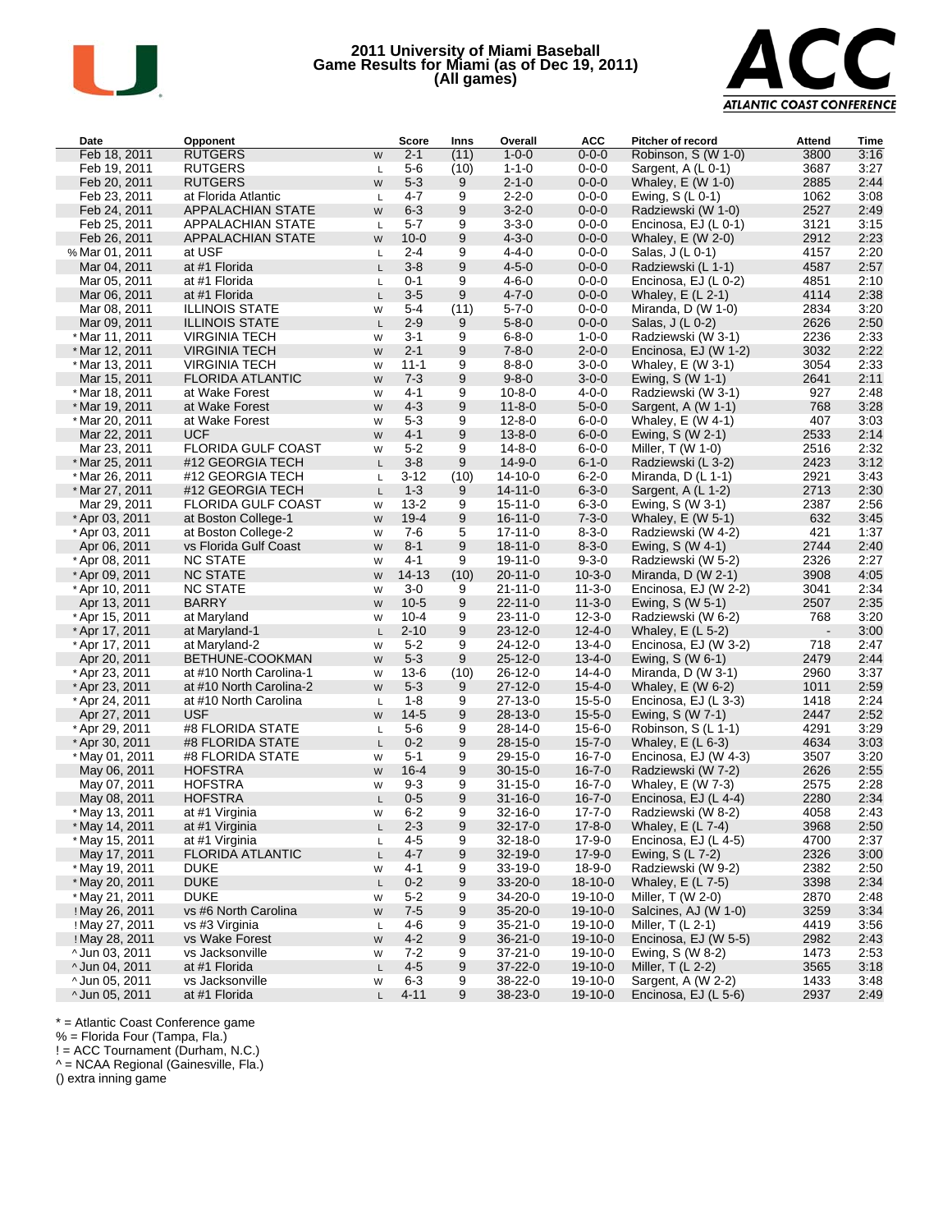

# **2011 University of Miami Baseball Game Results for Miami (as of Dec 19, 2011) (All games)**



| Date           | Opponent                  |              | Score     | Inns  | Overall       | <b>ACC</b>    | Pitcher of record    | Attend         | Time |
|----------------|---------------------------|--------------|-----------|-------|---------------|---------------|----------------------|----------------|------|
| Feb 18, 2011   | <b>RUTGERS</b>            | W            | $2 - 1$   | (11)  | $1 - 0 - 0$   | $0 - 0 - 0$   | Robinson, S (W 1-0)  | 3800           | 3:16 |
| Feb 19, 2011   | <b>RUTGERS</b>            | L            | $5-6$     | (10)  | $1 - 1 - 0$   | $0 - 0 - 0$   | Sargent, A (L 0-1)   | 3687           | 3:27 |
| Feb 20, 2011   | <b>RUTGERS</b>            | W            | $5 - 3$   | 9     | $2 - 1 - 0$   | $0 - 0 - 0$   | Whaley, $E(W 1-0)$   | 2885           | 2:44 |
| Feb 23, 2011   | at Florida Atlantic       | L.           | 4-7       | 9     | $2 - 2 - 0$   | $0 - 0 - 0$   | Ewing, $S(L 0-1)$    | 1062           | 3:08 |
| Feb 24, 2011   | APPALACHIAN STATE         | W            | $6 - 3$   | 9     | $3 - 2 - 0$   | $0 - 0 - 0$   | Radziewski (W 1-0)   | 2527           | 2:49 |
| Feb 25, 2011   | APPALACHIAN STATE         | L.           | $5 - 7$   | 9     | $3 - 3 - 0$   | $0 - 0 - 0$   | Encinosa, EJ (L 0-1) | 3121           | 3:15 |
| Feb 26, 2011   | APPALACHIAN STATE         | W            | $10 - 0$  | 9     | $4 - 3 - 0$   | $0 - 0 - 0$   | Whaley, $E$ (W 2-0)  | 2912           | 2:23 |
| % Mar 01, 2011 | at USF                    | L.           | $2 - 4$   | 9     | $4 - 4 - 0$   | $0 - 0 - 0$   | Salas, J (L 0-1)     | 4157           | 2:20 |
| Mar 04, 2011   | at #1 Florida             | L.           | $3 - 8$   | 9     | $4 - 5 - 0$   | $0 - 0 - 0$   | Radziewski (L 1-1)   | 4587           | 2:57 |
| Mar 05, 2011   | at #1 Florida             | L.           | $0 - 1$   | 9     | $4 - 6 - 0$   | $0 - 0 - 0$   | Encinosa, EJ (L 0-2) | 4851           | 2:10 |
| Mar 06, 2011   | at #1 Florida             | L.           | $3 - 5$   | 9     | $4 - 7 - 0$   | $0 - 0 - 0$   | Whaley, $E(L 2-1)$   | 4114           | 2:38 |
| Mar 08, 2011   | <b>ILLINOIS STATE</b>     | W            | 5-4       | (11)  | $5 - 7 - 0$   | $0 - 0 - 0$   | Miranda, $D(W 1-0)$  | 2834           | 3:20 |
| Mar 09, 2011   | <b>ILLINOIS STATE</b>     | L            | $2 - 9$   | 9     | $5 - 8 - 0$   | $0 - 0 - 0$   | Salas, J (L 0-2)     | 2626           | 2:50 |
| * Mar 11, 2011 | <b>VIRGINIA TECH</b>      | W            | 3-1       | 9     | $6 - 8 - 0$   | $1 - 0 - 0$   | Radziewski (W 3-1)   | 2236           | 2:33 |
| * Mar 12, 2011 | <b>VIRGINIA TECH</b>      | W            | $2 - 1$   | 9     | $7 - 8 - 0$   | $2 - 0 - 0$   | Encinosa, EJ (W 1-2) | 3032           | 2:22 |
| * Mar 13, 2011 | <b>VIRGINIA TECH</b>      | W            | $11 - 1$  | 9     | $8 - 8 - 0$   | $3 - 0 - 0$   | Whaley, $E$ (W 3-1)  | 3054           | 2:33 |
| Mar 15, 2011   | <b>FLORIDA ATLANTIC</b>   | W            | $7 - 3$   | 9     | $9 - 8 - 0$   | $3 - 0 - 0$   | Ewing, S (W 1-1)     | 2641           | 2:11 |
| * Mar 18, 2011 | at Wake Forest            | W            | 4-1       | 9     | $10 - 8 - 0$  | $4 - 0 - 0$   | Radziewski (W 3-1)   | 927            | 2:48 |
| * Mar 19, 2011 | at Wake Forest            | W            | $4 - 3$   | 9     | $11 - 8 - 0$  | $5 - 0 - 0$   | Sargent, A (W 1-1)   | 768            | 3:28 |
| * Mar 20, 2011 | at Wake Forest            | W            | $5 - 3$   | 9     | $12 - 8 - 0$  | $6 - 0 - 0$   | Whaley, $E$ (W 4-1)  | 407            | 3:03 |
| Mar 22, 2011   | <b>UCF</b>                | W            | $4 - 1$   | 9     | $13 - 8 - 0$  | $6 - 0 - 0$   | Ewing, $S(W 2-1)$    | 2533           | 2:14 |
| Mar 23, 2011   | FLORIDA GULF COAST        | W            | $5 - 2$   | 9     | $14 - 8 - 0$  | $6 - 0 - 0$   | Miller, T (W 1-0)    | 2516           | 2:32 |
| * Mar 25, 2011 | #12 GEORGIA TECH          | L.           | $3 - 8$   | 9     | $14 - 9 - 0$  | $6 - 1 - 0$   | Radziewski (L 3-2)   | 2423           | 3:12 |
| * Mar 26, 2011 | #12 GEORGIA TECH          | L            | 3-12      | (10)  | $14 - 10 - 0$ | $6 - 2 - 0$   | Miranda, $D(L 1-1)$  | 2921           | 3:43 |
| * Mar 27, 2011 | #12 GEORGIA TECH          | L            | $1 - 3$   | 9     | $14 - 11 - 0$ | $6 - 3 - 0$   | Sargent, A (L 1-2)   | 2713           | 2:30 |
| Mar 29, 2011   | <b>FLORIDA GULF COAST</b> | W            | $13 - 2$  | 9     | $15 - 11 - 0$ | $6 - 3 - 0$   | Ewing, S (W 3-1)     | 2387           | 2:56 |
| * Apr 03, 2011 | at Boston College-1       | W            | $19 - 4$  | 9     | $16 - 11 - 0$ | $7 - 3 - 0$   | Whaley, $E$ (W 5-1)  | 632            | 3:45 |
| * Apr 03, 2011 | at Boston College-2       | W            | 7-6       | 5     | $17 - 11 - 0$ | $8 - 3 - 0$   | Radziewski (W 4-2)   | 421            | 1:37 |
| Apr 06, 2011   | vs Florida Gulf Coast     | W            | $8 - 1$   | $9\,$ | $18 - 11 - 0$ | $8 - 3 - 0$   | Ewing, S (W 4-1)     | 2744           | 2:40 |
| * Apr 08, 2011 | <b>NC STATE</b>           | W            | 4-1       | 9     | $19-11-0$     | $9 - 3 - 0$   | Radziewski (W 5-2)   | 2326           | 2:27 |
| * Apr 09, 2011 | <b>NC STATE</b>           | W            | $14 - 13$ | (10)  | $20 - 11 - 0$ | $10 - 3 - 0$  | Miranda, $D(W 2-1)$  | 3908           | 4:05 |
| * Apr 10, 2011 | <b>NC STATE</b>           | W            | $3-0$     | 9     | $21 - 11 - 0$ | $11 - 3 - 0$  | Encinosa, EJ (W 2-2) | 3041           | 2:34 |
| Apr 13, 2011   | <b>BARRY</b>              | W            | $10-5$    | 9     | $22 - 11 - 0$ | $11 - 3 - 0$  | Ewing, S (W 5-1)     | 2507           | 2:35 |
| * Apr 15, 2011 | at Maryland               | W            | $10 - 4$  | 9     | $23 - 11 - 0$ | $12 - 3 - 0$  | Radziewski (W 6-2)   | 768            | 3:20 |
| * Apr 17, 2011 | at Maryland-1             | L            | $2 - 10$  | 9     | $23 - 12 - 0$ | $12 - 4 - 0$  | Whaley, $E(L 5-2)$   | $\blacksquare$ | 3:00 |
| * Apr 17, 2011 | at Maryland-2             | W            | $5 - 2$   | 9     | $24 - 12 - 0$ | $13 - 4 - 0$  | Encinosa, EJ (W 3-2) | 718            | 2:47 |
| Apr 20, 2011   | BETHUNE-COOKMAN           | W            | $5 - 3$   | 9     | $25 - 12 - 0$ | $13 - 4 - 0$  | Ewing, S (W 6-1)     | 2479           | 2:44 |
| * Apr 23, 2011 | at #10 North Carolina-1   | W            | $13-6$    | (10)  | $26 - 12 - 0$ | $14 - 4 - 0$  | Miranda, D (W 3-1)   | 2960           | 3:37 |
| * Apr 23, 2011 | at #10 North Carolina-2   | W            | $5 - 3$   | 9     | $27 - 12 - 0$ | $15 - 4 - 0$  | Whaley, $E(W 6-2)$   | 1011           | 2:59 |
| * Apr 24, 2011 | at #10 North Carolina     | L.           | 1-8       | 9     | $27 - 13 - 0$ | $15 - 5 - 0$  | Encinosa, EJ (L 3-3) | 1418           | 2:24 |
| Apr 27, 2011   | <b>USF</b>                | W            | $14-5$    | 9     | $28 - 13 - 0$ | $15 - 5 - 0$  | Ewing, S (W 7-1)     | 2447           | 2:52 |
| * Apr 29, 2011 | #8 FLORIDA STATE          | L            | $5-6$     | 9     | $28 - 14 - 0$ | $15 - 6 - 0$  | Robinson, S (L 1-1)  | 4291           | 3:29 |
| * Apr 30, 2011 | #8 FLORIDA STATE          | L.           | $0 - 2$   | 9     | $28 - 15 - 0$ | $15 - 7 - 0$  | Whaley, $E(L 6-3)$   | 4634           | 3:03 |
| * May 01, 2011 | #8 FLORIDA STATE          | W            | $5 - 1$   | 9     | 29-15-0       | $16 - 7 - 0$  | Encinosa, EJ (W 4-3) | 3507           | 3:20 |
| May 06, 2011   | <b>HOFSTRA</b>            | W            | $16 - 4$  | 9     | $30 - 15 - 0$ | $16 - 7 - 0$  | Radziewski (W 7-2)   | 2626           | 2:55 |
| May 07, 2011   | <b>HOFSTRA</b>            | W            | $9 - 3$   | 9     | $31 - 15 - 0$ | $16 - 7 - 0$  | Whaley, $E$ (W 7-3)  | 2575           | 2:28 |
| May 08, 2011   | <b>HOFSTRA</b>            | L            | $0 - 5$   | 9     | $31 - 16 - 0$ | $16 - 7 - 0$  | Encinosa, EJ (L 4-4) | 2280           | 2:34 |
| * May 13, 2011 | at #1 Virginia            | W            | $6 - 2$   | 9     | $32 - 16 - 0$ | $17 - 7 - 0$  | Radziewski (W 8-2)   | 4058           | 2:43 |
| * May 14, 2011 | at #1 Virginia            | $\mathsf{L}$ | $2 - 3$   | 9     | 32-17-0       | $17 - 8 - 0$  | Whaley, $E(L7-4)$    | 3968           | 2:50 |
| * May 15, 2011 | at #1 Virginia            | Г            | 4-5       | 9     | 32-18-0       | $17 - 9 - 0$  | Encinosa, EJ (L 4-5) | 4700           | 2:37 |
| May 17, 2011   | <b>FLORIDA ATLANTIC</b>   | L            | 4-7       | 9     | $32 - 19 - 0$ | $17 - 9 - 0$  | Ewing, $S(L7-2)$     | 2326           | 3:00 |
| * May 19, 2011 | <b>DUKE</b>               | W            | 4-1       | 9     | 33-19-0       | $18 - 9 - 0$  | Radziewski (W 9-2)   | 2382           | 2:50 |
| * May 20, 2011 | <b>DUKE</b>               | L            | $0 - 2$   | 9     | $33 - 20 - 0$ | $18 - 10 - 0$ | Whaley, $E(L 7-5)$   | 3398           | 2:34 |
| * May 21, 2011 | <b>DUKE</b>               | W            | 5-2       | 9     | 34-20-0       | 19-10-0       | Miller, $T(W 2-0)$   | 2870           | 2:48 |
| ! May 26, 2011 | vs #6 North Carolina      | W            | $7 - 5$   | 9     | $35 - 20 - 0$ | $19-10-0$     | Salcines, AJ (W 1-0) | 3259           | 3:34 |
| ! May 27, 2011 | vs #3 Virginia            | Г            | 4-6       | 9     | 35-21-0       | 19-10-0       | Miller, $T(L_2-1)$   | 4419           | 3:56 |
| ! May 28, 2011 | vs Wake Forest            | W            | 4-2       | 9     | $36 - 21 - 0$ | $19-10-0$     | Encinosa, EJ (W 5-5) | 2982           | 2:43 |
| ^Jun 03, 2011  | vs Jacksonville           | W            | 7-2       | 9     | 37-21-0       | 19-10-0       | Ewing, S (W 8-2)     | 1473           | 2:53 |
| ^Jun 04, 2011  | at #1 Florida             | L            | 4-5       | 9     | 37-22-0       | $19-10-0$     | Miller, $T(L2-2)$    | 3565           | 3:18 |
| ^Jun 05, 2011  | vs Jacksonville           | W            | 6-3       | 9     | 38-22-0       | 19-10-0       | Sargent, A (W 2-2)   | 1433           | 3:48 |
| ^Jun 05, 2011  | at #1 Florida             | L.           | $4 - 11$  | 9     | 38-23-0       | 19-10-0       | Encinosa, EJ (L 5-6) | 2937           | 2:49 |

\* = Atlantic Coast Conference game

% = Florida Four (Tampa, Fla.)

! = ACC Tournament (Durham, N.C.)

^ = NCAA Regional (Gainesville, Fla.)

() extra inning game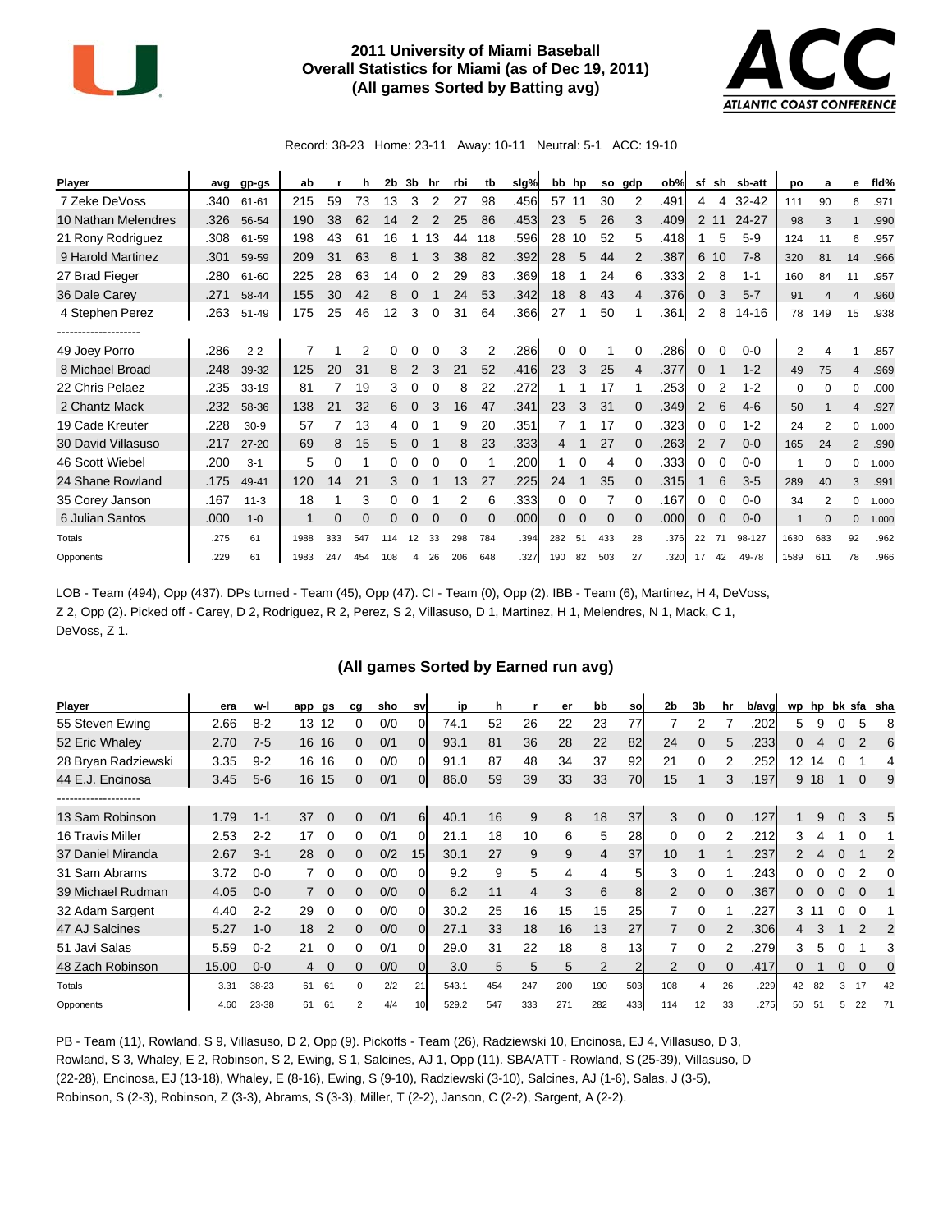

## **2011 University of Miami Baseball Overall Statistics for Miami (as of Dec 19, 2011) (All games Sorted by Batting avg)**



Record: 38-23 Home: 23-11 Away: 10-11 Neutral: 5-1 ACC: 19-10

| <b>Player</b>       | avg  | gp-gs     | ab          |     | h   | 2b  | 3b       | hr       | rbi      | tb       | slg% | bb  | hp | so       | gdp      | ob%  | sf | sh       | sb-att    | <b>DO</b>      | a              | е              | fld%  |
|---------------------|------|-----------|-------------|-----|-----|-----|----------|----------|----------|----------|------|-----|----|----------|----------|------|----|----------|-----------|----------------|----------------|----------------|-------|
| 7 Zeke DeVoss       | .340 | 61-61     | 215         | 59  | 73  | 13  | 3        | 2        | 27       | 98       | .456 | 57  | 11 | 30       | 2        | .491 | 4  | 4        | $32 - 42$ | 111            | 90             | 6              | .971  |
| 10 Nathan Melendres | .326 | 56-54     | 190         | 38  | 62  | 14  |          |          | 25       | 86       | .453 | 23  | 5  | 26       | 3        | .409 | 2  | 11       | 24-27     | 98             | 3              |                | .990  |
| 21 Rony Rodriguez   | .308 | 61-59     | 198         | 43  | 61  | 16  |          | 13       | 44       | 118      | .596 | 28  | 10 | 52       | 5        | .418 |    | 5        | $5-9$     | 124            | 11             | 6              | .957  |
| 9 Harold Martinez   | .301 | 59-59     | 209         | 31  | 63  | 8   |          | 3        | 38       | 82       | .392 | 28  | 5  | 44       | 2        | .387 | 6  | 10       | $7 - 8$   | 320            | 81             | 14             | .966  |
| 27 Brad Fieger      | .280 | 61-60     | 225         | 28  | 63  | 14  | 0        | 2        | 29       | 83       | .369 | 18  |    | 24       | 6        | .333 | 2  | 8        | $1 - 1$   | 160            | 84             | 11             | .957  |
| 36 Dale Carey       | .271 | 58-44     | 155         | 30  | 42  | 8   | 0        |          | 24       | 53       | .342 | 18  | 8  | 43       | 4        | .376 | 0  | 3        | $5 - 7$   | 91             | 4              | $\overline{4}$ | .960  |
| 4 Stephen Perez     | .263 | 51-49     | 175         | 25  | 46  | 12  | 3        | 0        | 31       | 64       | .366 | 27  |    | 50       |          | .361 | 2  | 8        | 14-16     | 78             | 149            | 15             | .938  |
| ----------------    |      |           |             |     |     |     |          |          |          |          |      |     |    |          |          |      |    |          |           |                |                |                |       |
| 49 Joey Porro       | .286 | $2 - 2$   |             |     | 2   | 0   | 0        |          | 3        | 2        | .286 | 0   | 0  |          | 0        | .286 | 0  | 0        | $0 - 0$   | $\overline{2}$ |                |                | .857  |
| 8 Michael Broad     | .248 | 39-32     | 125         | 20  | 31  | 8   | 2        | 3        | 21       | 52       | .416 | 23  | 3  | 25       | 4        | .377 | 0  |          | $1 - 2$   | 49             | 75             | 4              | .969  |
| 22 Chris Pelaez     | .235 | 33-19     | 81          |     | 19  | 3   | 0        |          | 8        | 22       | .272 |     |    | 17       |          | .253 | 0  | 2        | $1 - 2$   | 0              | $\Omega$       | 0              | .000  |
| 2 Chantz Mack       | .232 | 58-36     | 138         | 21  | 32  | 6   | 0        | 3        | 16       | 47       | .341 | 23  | 3  | 31       | 0        | .349 | 2  | 6        | $4 - 6$   | 50             |                | 4              | .927  |
| 19 Cade Kreuter     | .228 | $30-9$    | 57          |     | 13  | 4   | 0        |          | 9        | 20       | .351 |     |    | 17       | 0        | .323 | 0  | O        | $1 - 2$   | 24             | $\mathfrak{p}$ | $\Omega$       | 1.000 |
| 30 David Villasuso  | .217 | $27 - 20$ | 69          | 8   | 15  | 5   | $\Omega$ |          | 8        | 23       | .333 | 4   | 1  | 27       | 0        | .263 | 2  |          | $0 - 0$   | 165            | 24             | 2              | .990  |
| 46 Scott Wiebel     | .200 | $3 - 1$   | 5           | 0   |     | 0   | 0        | $\Omega$ | 0        |          | .200 | 1.  | 0  | 4        | 0        | .333 | 0  | 0        | $0 - 0$   |                | $\Omega$       | 0              | 1.000 |
| 24 Shane Rowland    | .175 | 49-41     | 120         | 14  | 21  | 3   | 0        |          | 13       | 27       | .225 | 24  |    | 35       | 0        | .315 |    | 6        | $3-5$     | 289            | 40             | 3              | .991  |
| 35 Corey Janson     | .167 | $11 - 3$  | 18          |     | 3   | 0   | 0        |          | 2        | 6        | .333 | 0   | 0  |          | 0        | .167 | 0  |          | $0 - 0$   | 34             | $\overline{2}$ | 0              | 1.000 |
| 6 Julian Santos     | .000 | $1 - 0$   | $\mathbf 1$ | 0   | 0   | 0   | 0        | 0        | $\Omega$ | $\Omega$ | .000 | 0   | 0  | $\Omega$ | $\Omega$ | .000 | 0  | $\Omega$ | $0 - 0$   | 1              | $\Omega$       | $\mathbf 0$    | 1.000 |
| Totals              | .275 | 61        | 1988        | 333 | 547 | 114 | 12       | 33       | 298      | 784      | .394 | 282 | 51 | 433      | 28       | .376 | 22 | 71       | 98-127    | 1630           | 683            | 92             | .962  |
| Opponents           | .229 | 61        | 1983        | 247 | 454 | 108 | 4        | 26       | 206      | 648      | .327 | 190 | 82 | 503      | 27       | .320 | 17 | 42       | 49-78     | 1589           | 611            | 78             | .966  |

LOB - Team (494), Opp (437). DPs turned - Team (45), Opp (47). CI - Team (0), Opp (2). IBB - Team (6), Martinez, H 4, DeVoss, Z 2, Opp (2). Picked off - Carey, D 2, Rodriguez, R 2, Perez, S 2, Villasuso, D 1, Martinez, H 1, Melendres, N 1, Mack, C 1, DeVoss, Z 1.

#### **(All games Sorted by Earned run avg)**

| Player              | era   | w-l     | app gs |          | cg             | sho | sv       | ip    | h   |                | er  | bb             | sol            | 2 <sub>b</sub> | 3b          | hr | b/avg | wp                | hp |              |          | bk sfa sha |
|---------------------|-------|---------|--------|----------|----------------|-----|----------|-------|-----|----------------|-----|----------------|----------------|----------------|-------------|----|-------|-------------------|----|--------------|----------|------------|
| 55 Steven Ewing     | 2.66  | $8 - 2$ | 13     | 12       | 0              | 0/0 |          | 74.1  | 52  | 26             | 22  | 23             | 77             |                | 2           |    | .202  | 5                 | 9  |              | 5        | 8          |
| 52 Eric Whaley      | 2.70  | $7-5$   | 16     | 16       | 0              | 0/1 | 0        | 93.1  | 81  | 36             | 28  | 22             | 82             | 24             | $\mathbf 0$ | 5  | .233  | 0                 | 4  | 0            | 2        | 6          |
| 28 Bryan Radziewski | 3.35  | $9 - 2$ | 16     | 16       | 0              | 0/0 | 0        | 91.1  | 87  | 48             | 34  | 37             | 92             | 21             | 0           | 2  | .252  | $12 \overline{ }$ | 14 |              |          | 4          |
| 44 E.J. Encinosa    | 3.45  | $5-6$   | 16     | 15       | 0              | 0/1 | 0        | 86.0  | 59  | 39             | 33  | 33             | 70             | 15             |             | 3  | .197  | 9                 | 18 |              | $\Omega$ | 9          |
| ------------------  |       |         |        |          |                |     |          |       |     |                |     |                |                |                |             |    |       |                   |    |              |          |            |
| 13 Sam Robinson     | 1.79  | $1 - 1$ | 37     | $\Omega$ | 0              | 0/1 | 6        | 40.1  | 16  | 9              | 8   | 18             | 37             | 3              | $\mathbf 0$ | 0  | .127  |                   | 9  | $\mathbf{0}$ | 3        | 5          |
| 16 Travis Miller    | 2.53  | $2 - 2$ | 17     | 0        | 0              | 0/1 | 0        | 21.1  | 18  | 10             | 6   | 5              | 28             | $\Omega$       | $\Omega$    | 2  | .212  | 3                 | 4  |              | 0        |            |
| 37 Daniel Miranda   | 2.67  | $3 - 1$ | 28     | $\Omega$ | $\Omega$       | 0/2 | 15       | 30.1  | 27  | 9              | 9   | 4              | 37             | 10             |             |    | .237  | $\overline{2}$    | 4  | $\Omega$     |          | 2          |
| 31 Sam Abrams       | 3.72  | $0 - 0$ |        | $\Omega$ | 0              | 0/0 |          | 9.2   | 9   | 5              | 4   | 4              | 5              | 3              | 0           |    | .243  |                   |    |              | 2        | 0          |
| 39 Michael Rudman   | 4.05  | $0 - 0$ |        | $\Omega$ | $\Omega$       | 0/0 |          | 6.2   | 11  | $\overline{4}$ | 3   | 6              | 8 <sup>1</sup> | 2              | $\Omega$    | 0  | .367  | 0                 | 0  | 0            | $\Omega$ |            |
| 32 Adam Sargent     | 4.40  | $2 - 2$ | 29     | 0        | 0              | 0/0 | 0        | 30.2  | 25  | 16             | 15  | 15             | 25             |                | 0           |    | .227  | 3                 |    |              | 0        |            |
| 47 AJ Salcines      | 5.27  | $1 - 0$ | 18     | 2        | $\Omega$       | 0/0 | $\Omega$ | 27.1  | 33  | 18             | 16  | 13             | 27             |                | $\Omega$    | 2  | .306  | 4                 | 3  |              | 2        | 2          |
| 51 Javi Salas       | 5.59  | $0 - 2$ | 21     | $\Omega$ | 0              | 0/1 | 0        | 29.0  | 31  | 22             | 18  | 8              | 13             |                | $\Omega$    | 2  | .279  | 3                 | 5  |              |          | 3          |
| 48 Zach Robinson    | 15.00 | $0 - 0$ | 4      | $\Omega$ |                | 0/0 |          | 3.0   | 5   | 5              | 5   | $\overline{2}$ |                | $\overline{2}$ | $\Omega$    |    | .417  | 0                 |    | $\Omega$     | $\Omega$ | 0          |
| Totals              | 3.31  | 38-23   | 61     | 61       | 0              | 2/2 | 21       | 543.1 | 454 | 247            | 200 | 190            | 503            | 108            | 4           | 26 | .229  | 42                | 82 | 3            | 17       | 42         |
| Opponents           | 4.60  | 23-38   | 61     | 61       | $\overline{2}$ | 4/4 | 10       | 529.2 | 547 | 333            | 271 | 282            | 433            | 114            | 12          | 33 | .275  | 50                | 51 | 5            | 22       | 71         |

PB - Team (11), Rowland, S 9, Villasuso, D 2, Opp (9). Pickoffs - Team (26), Radziewski 10, Encinosa, EJ 4, Villasuso, D 3, Rowland, S 3, Whaley, E 2, Robinson, S 2, Ewing, S 1, Salcines, AJ 1, Opp (11). SBA/ATT - Rowland, S (25-39), Villasuso, D (22-28), Encinosa, EJ (13-18), Whaley, E (8-16), Ewing, S (9-10), Radziewski (3-10), Salcines, AJ (1-6), Salas, J (3-5), Robinson, S (2-3), Robinson, Z (3-3), Abrams, S (3-3), Miller, T (2-2), Janson, C (2-2), Sargent, A (2-2).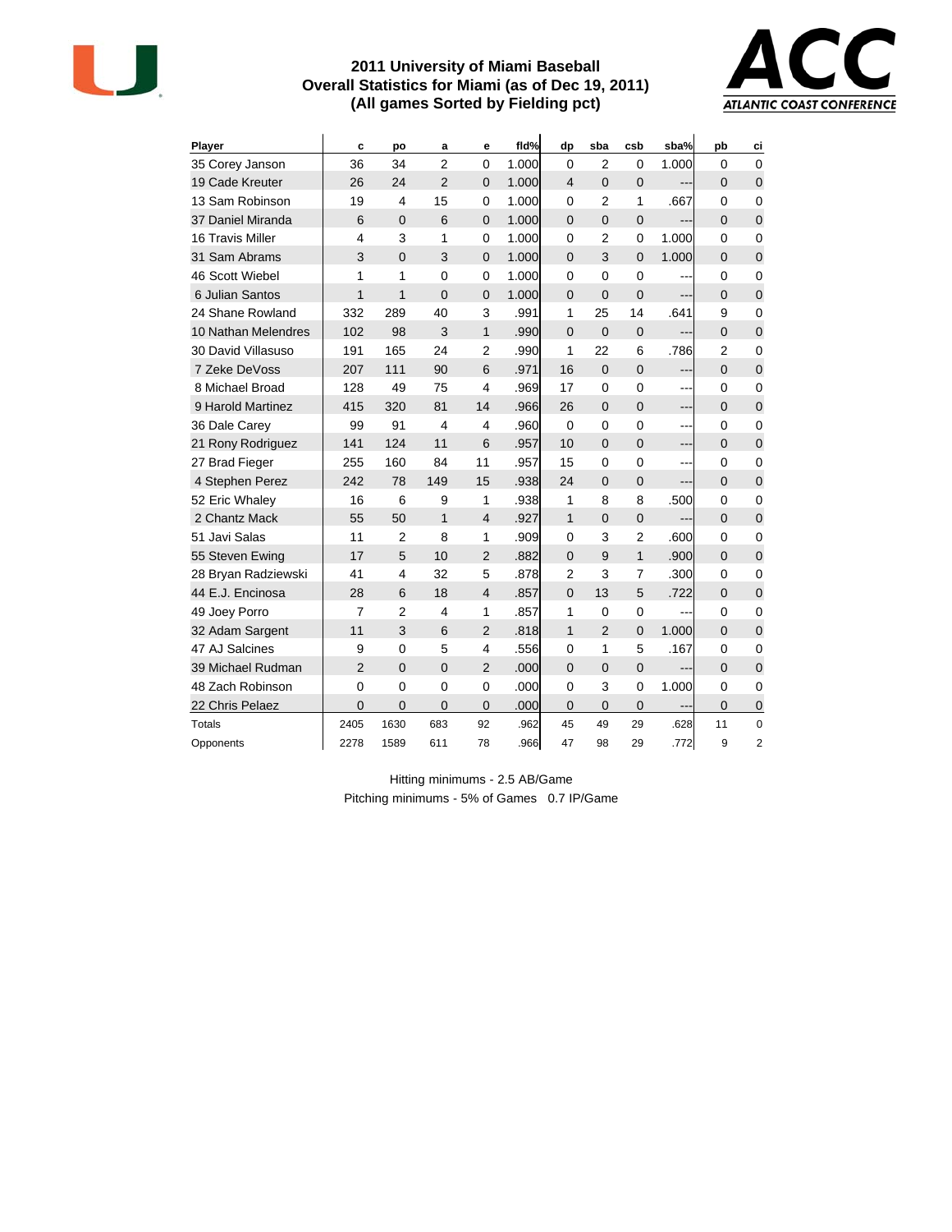

### **2011 University of Miami Baseball Overall Statistics for Miami (as of Dec 19, 2011) (All games Sorted by Fielding pct)**



| Player              | c              | po             | a              | е              | fid%  | dp             | sba            | csb            | sba%  | pb             | ci             |
|---------------------|----------------|----------------|----------------|----------------|-------|----------------|----------------|----------------|-------|----------------|----------------|
| 35 Corey Janson     | 36             | 34             | $\overline{2}$ | $\Omega$       | 1.000 | $\Omega$       | 2              | 0              | 1.000 | 0              | $\mathbf 0$    |
| 19 Cade Kreuter     | 26             | 24             | $\overline{2}$ | $\mathbf 0$    | 1.000 | $\overline{4}$ | $\overline{0}$ | $\overline{0}$ | ---   | $\Omega$       | $\mathbf 0$    |
| 13 Sam Robinson     | 19             | $\overline{4}$ | 15             | 0              | 1.000 | 0              | $\overline{2}$ | 1              | .667  | 0              | 0              |
| 37 Daniel Miranda   | 6              | 0              | 6              | $\mathbf 0$    | 1.000 | $\Omega$       | $\overline{0}$ | 0              | ---   | $\mathbf 0$    | $\mathbf 0$    |
| 16 Travis Miller    | 4              | 3              | 1              | 0              | 1.000 | 0              | $\overline{2}$ | 0              | 1.000 | 0              | $\mathbf 0$    |
| 31 Sam Abrams       | 3              | $\Omega$       | 3              | $\mathbf 0$    | 1.000 | $\Omega$       | 3              | $\overline{0}$ | 1.000 | $\Omega$       | $\mathbf 0$    |
| 46 Scott Wiebel     | 1              | 1              | 0              | $\mathbf 0$    | 1.000 | 0              | 0              | 0              | ---   | 0              | $\mathbf 0$    |
| 6 Julian Santos     | $\mathbf{1}$   | 1              | $\Omega$       | $\overline{0}$ | 1.000 | $\Omega$       | $\overline{0}$ | $\mathbf 0$    |       | $\Omega$       | $\mathbf 0$    |
| 24 Shane Rowland    | 332            | 289            | 40             | 3              | .991  | 1              | 25             | 14             | .641  | 9              | $\mathbf 0$    |
| 10 Nathan Melendres | 102            | 98             | 3              | 1              | .990  | $\overline{0}$ | $\mathbf 0$    | $\mathbf 0$    | ---   | $\overline{0}$ | $\mathbf 0$    |
| 30 David Villasuso  | 191            | 165            | 24             | 2              | .990  | 1              | 22             | 6              | .786  | 2              | 0              |
| 7 Zeke DeVoss       | 207            | 111            | 90             | 6              | .971  | 16             | $\overline{0}$ | $\mathbf 0$    | ---   | $\overline{0}$ | $\mathbf 0$    |
| 8 Michael Broad     | 128            | 49             | 75             | $\overline{4}$ | .969  | 17             | $\mathbf 0$    | 0              | ---   | $\mathbf 0$    | $\mathbf 0$    |
| 9 Harold Martinez   | 415            | 320            | 81             | 14             | .966  | 26             | $\Omega$       | $\mathbf 0$    | ---   | $\Omega$       | $\overline{0}$ |
| 36 Dale Carev       | 99             | 91             | 4              | 4              | .960  | $\mathbf 0$    | $\mathbf 0$    | 0              | ---   | $\mathbf 0$    | $\mathbf 0$    |
| 21 Rony Rodriguez   | 141            | 124            | 11             | 6              | .957  | 10             | $\Omega$       | $\overline{0}$ | ---   | $\Omega$       | $\mathbf 0$    |
| 27 Brad Fieger      | 255            | 160            | 84             | 11             | .957  | 15             | $\mathbf 0$    | 0              | ---   | $\mathbf 0$    | $\mathbf 0$    |
| 4 Stephen Perez     | 242            | 78             | 149            | 15             | .938  | 24             | $\overline{0}$ | $\overline{0}$ | ---   | $\Omega$       | $\mathbf 0$    |
| 52 Eric Whaley      | 16             | 6              | 9              | 1              | .938  | 1              | 8              | 8              | .500  | 0              | $\mathbf 0$    |
| 2 Chantz Mack       | 55             | 50             | $\mathbf{1}$   | $\overline{4}$ | .927  | $\mathbf{1}$   | $\overline{0}$ | $\mathbf 0$    | ---   | $\Omega$       | $\mathbf 0$    |
| 51 Javi Salas       | 11             | $\overline{2}$ | 8              | 1              | .909  | 0              | 3              | $\overline{2}$ | .600  | 0              | $\mathbf 0$    |
| 55 Steven Ewing     | 17             | 5              | 10             | $\overline{2}$ | .882  | $\Omega$       | 9              | $\mathbf{1}$   | .900  | $\Omega$       | $\overline{0}$ |
| 28 Bryan Radziewski | 41             | 4              | 32             | 5              | .878  | 2              | 3              | $\overline{7}$ | .300  | 0              | $\mathbf 0$    |
| 44 E.J. Encinosa    | 28             | 6              | 18             | $\overline{4}$ | .857  | $\Omega$       | 13             | 5              | .722  | $\Omega$       | $\mathbf 0$    |
| 49 Joey Porro       | $\overline{7}$ | $\overline{2}$ | 4              | 1              | .857  | 1              | $\mathbf 0$    | 0              | ---   | 0              | $\mathbf 0$    |
| 32 Adam Sargent     | 11             | 3              | 6              | $\overline{2}$ | .818  | $\mathbf{1}$   | $\overline{2}$ | $\overline{0}$ | 1.000 | $\Omega$       | $\overline{0}$ |
| 47 AJ Salcines      | 9              | $\mathbf 0$    | 5              | 4              | .556  | $\mathbf{0}$   | 1              | 5              | .167  | 0              | $\mathbf 0$    |
| 39 Michael Rudman   | $\overline{2}$ | $\Omega$       | $\Omega$       | $\overline{2}$ | .000  | $\Omega$       | $\Omega$       | $\overline{0}$ |       | $\Omega$       | $\mathbf 0$    |
| 48 Zach Robinson    | $\mathbf 0$    | $\mathbf 0$    | 0              | $\mathbf 0$    | .000  | 0              | 3              | 0              | 1.000 | 0              | $\mathbf 0$    |
| 22 Chris Pelaez     | 0              | 0              | 0              | 0              | .000  | 0              | 0              | 0              |       | 0              | $\mathbf 0$    |
| Totals              | 2405           | 1630           | 683            | 92             | .962  | 45             | 49             | 29             | .628  | 11             | $\mathbf 0$    |
| Opponents           | 2278           | 1589           | 611            | 78             | .966  | 47             | 98             | 29             | .772  | 9              | $\overline{2}$ |

Hitting minimums - 2.5 AB/Game Pitching minimums - 5% of Games 0.7 IP/Game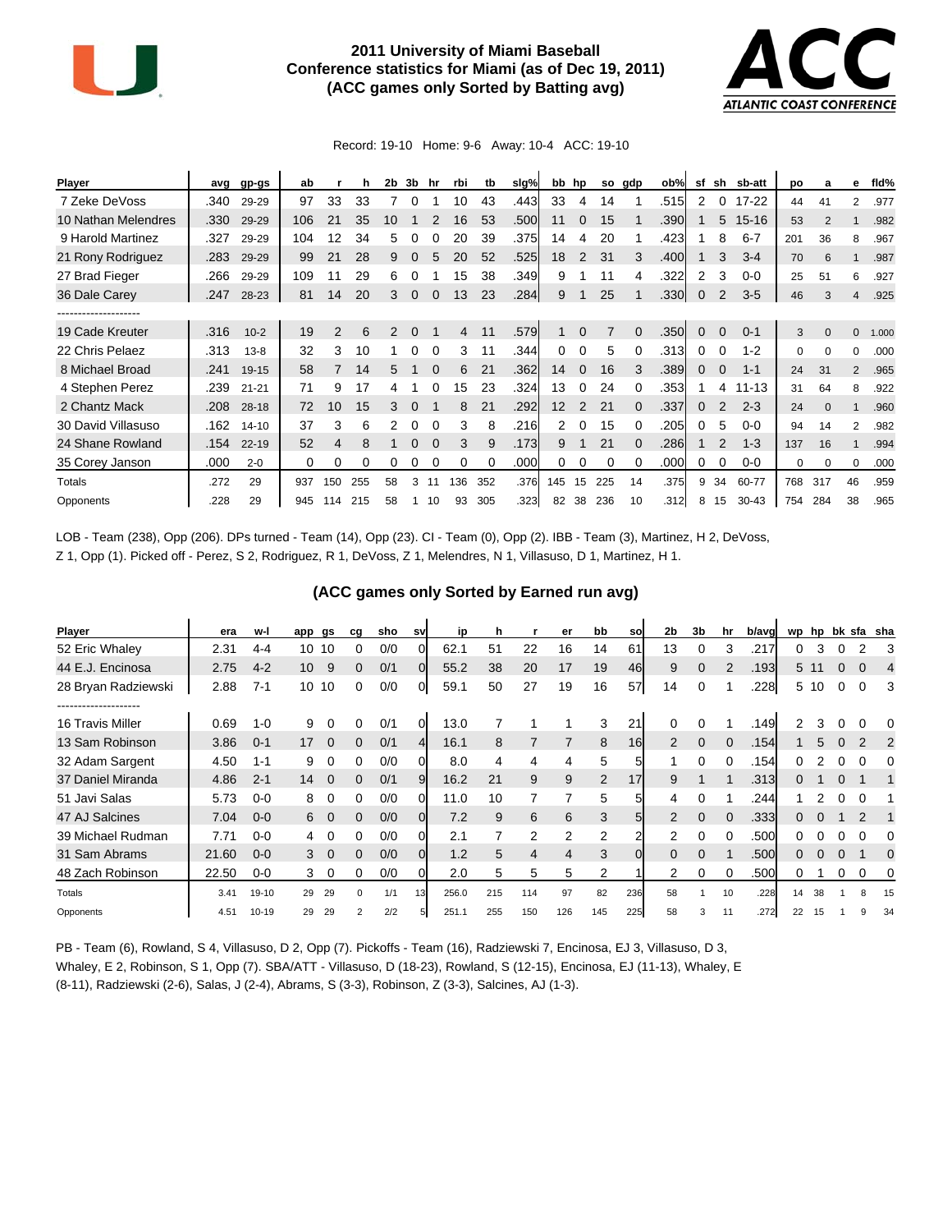

## **2011 University of Miami Baseball Conference statistics for Miami (as of Dec 19, 2011) (ACC games only Sorted by Batting avg)**



Record: 19-10 Home: 9-6 Away: 10-4 ACC: 19-10

| Player              | avg  | gp-gs     | ab  |                | h   | 2b | 3b           | hr       | rbi | tb  | slg% |                   | bb hp          | so             | gdp      | ob%  | sf           | sh             | sb-att    | po  | a              | е              | fld%  |
|---------------------|------|-----------|-----|----------------|-----|----|--------------|----------|-----|-----|------|-------------------|----------------|----------------|----------|------|--------------|----------------|-----------|-----|----------------|----------------|-------|
| 7 Zeke DeVoss       | .340 | 29-29     | 97  | 33             | 33  |    |              |          | 10  | 43  | .443 | 33                | 4              | 14             |          | .515 | 2            | $\Omega$       | $17 - 22$ | 44  | 41             | 2              | .977  |
| 10 Nathan Melendres | .330 | 29-29     | 106 | 21             | 35  | 10 |              |          | 16  | 53  | .500 | 11                | $\Omega$       | 15             |          | .390 |              | 5              | $15 - 16$ | 53  | $\overline{2}$ |                | .982  |
| 9 Harold Martinez   | .327 | 29-29     | 104 | 12             | 34  | 5  |              |          | 20  | 39  | .375 | 14                | 4              | 20             |          | .423 |              | 8              | $6 - 7$   | 201 | 36             | 8              | .967  |
| 21 Rony Rodriguez   | .283 | 29-29     | 99  | 21             | 28  | 9  | 0            | 5        | 20  | 52  | .525 | 18                | 2              | 31             | 3        | .400 |              | 3              | $3 - 4$   | 70  | 6              | $\mathbf{1}$   | .987  |
| 27 Brad Fieger      | .266 | 29-29     | 109 | 11             | 29  | 6  |              |          | 15  | 38  | .349 | 9                 |                | 11             | 4        | .322 | 2            | 3              | $0 - 0$   | 25  | 51             | 6              | .927  |
| 36 Dale Carey       | .247 | 28-23     | 81  | 14             | 20  | 3  | $\mathbf{0}$ | $\Omega$ | 13  | 23  | .284 | 9                 |                | 25             |          | .330 | $\mathbf{0}$ | $\overline{2}$ | $3-5$     | 46  | 3              | 4              | .925  |
|                     |      |           |     |                |     |    |              |          |     |     |      |                   |                |                |          |      |              |                |           |     |                |                |       |
| 19 Cade Kreuter     | .316 | $10 - 2$  | 19  | $\overline{2}$ | 6   | 2  | 0            |          | 4   | 11  | .579 |                   | $\Omega$       | $\overline{7}$ | $\Omega$ | .350 | $\mathbf{0}$ | $\mathbf{0}$   | $0 - 1$   | 3   | $\mathbf{0}$   | 0              | 1.000 |
| 22 Chris Pelaez     | .313 | $13 - 8$  | 32  | 3              | 10  |    | 0            | $\Omega$ | 3   | 11  | .344 | 0                 | 0              | 5              | 0        | .313 | 0            | 0              | $1 - 2$   | 0   | $\Omega$       | $\Omega$       | .000  |
| 8 Michael Broad     | .241 | 19-15     | 58  | 7              | 14  | 5. | 1            | $\Omega$ | 6   | 21  | .362 | 14                | $\overline{0}$ | 16             | 3        | .389 | 0            | $\mathbf{0}$   | $1 - 1$   | 24  | 31             | $\overline{2}$ | .965  |
| 4 Stephen Perez     | .239 | $21 - 21$ | 71  | 9              | 17  | 4  |              |          | 15  | 23  | .324 | 13                | 0              | 24             | 0        | .353 |              | 4              | $11 - 13$ | 31  | 64             | 8              | .922  |
| 2 Chantz Mack       | .208 | $28-18$   | 72  | 10             | 15  | 3  | $\Omega$     |          | 8   | 21  | .292 | $12 \overline{ }$ | 2              | 21             | $\Omega$ | .337 | 0            | 2              | $2 - 3$   | 24  | $\Omega$       | 1              | .960  |
| 30 David Villasuso  | .162 | $14 - 10$ | 37  | 3              | 6   |    | 0            |          | 3   | 8   | .216 | 2                 | $\Omega$       | 15             | $\Omega$ | .205 | 0            | 5              | $0 - 0$   | 94  | 14             | 2              | .982  |
| 24 Shane Rowland    | .154 | $22 - 19$ | 52  | 4              | 8   |    | 0            |          | 3   | 9   | .173 | 9                 |                | 21             | $\Omega$ | .286 |              | $\overline{2}$ | $1 - 3$   | 137 | 16             |                | .994  |
| 35 Corey Janson     | .000 | $2 - 0$   | 0   | 0              | 0   |    |              |          | 0   |     | .000 | 0                 |                | $\Omega$       |          | .000 | 0            | $\Omega$       | 0-0       | 0   | O              | 0              | .000  |
| Totals              | .272 | 29        | 937 | 150            | 255 | 58 | 3            |          | 136 | 352 | .376 | 145               | 15             | 225            | 14       | .375 | 9            | 34             | 60-77     | 768 | 317            | 46             | .959  |
| Opponents           | .228 | 29        | 945 | 114            | 215 | 58 |              | 10       | 93  | 305 | .323 | 82                | 38             | 236            | 10       | .312 | 8            | 15             | $30 - 43$ | 754 | 284            | 38             | .965  |

LOB - Team (238), Opp (206). DPs turned - Team (14), Opp (23). CI - Team (0), Opp (2). IBB - Team (3), Martinez, H 2, DeVoss, Z 1, Opp (1). Picked off - Perez, S 2, Rodriguez, R 1, DeVoss, Z 1, Melendres, N 1, Villasuso, D 1, Martinez, H 1.

| <b>Player</b>                            | era   | w-l       | gs<br>app | ca          | sho                   | <b>SV</b>      | ip    | h   |     | er  | bb             | <b>SO</b>      | 2b       | 3b       | hr       | b/avg | wp | hp   |             |          | bk sfa sha |
|------------------------------------------|-------|-----------|-----------|-------------|-----------------------|----------------|-------|-----|-----|-----|----------------|----------------|----------|----------|----------|-------|----|------|-------------|----------|------------|
| 52 Eric Whaley                           | 2.31  | $4-4$     | 10<br>10  |             | 0/0<br>0              |                | 62.1  | 51  | 22  | 16  | 14             | 61             | 13       |          |          | .217  | 0  | 3    | 0           |          | 3          |
| 44 E.J. Encinosa                         | 2.75  | $4 - 2$   | 10        | 9           | 0/1<br>0              | $\overline{0}$ | 55.2  | 38  | 20  | 17  | 19             | 46             | 9        | $\Omega$ |          | .193  |    | 5 11 | $\Omega$    | $\Omega$ | 4          |
| 28 Bryan Radziewski<br>----------------- | 2.88  | $7 - 1$   | 10<br>10  |             | 0/0<br>0              | 0              | 59.1  | 50  | 27  | 19  | 16             | 57             | 14       | $\Omega$ |          | .228  | 5. | 10   | $\Omega$    | $\Omega$ | 3          |
| 16 Travis Miller                         | 0.69  | $1 - 0$   | 9         | 0           | 0/1<br>0              | 0              | 13.0  |     |     |     | 3              | 21             | 0        | $\Omega$ |          | .149  | 2  | 3    | 0           |          | 0          |
| 13 Sam Robinson                          | 3.86  | $0 - 1$   | 17        | $\Omega$    | 0/1<br>0              | 4              | 16.1  | 8   |     | 7   | 8              | 16             | 2        | $\Omega$ | $\Omega$ | .154  |    | 5    | $\mathbf 0$ | 2        | 2          |
| 32 Adam Sargent                          | 4.50  | $1 - 1$   | 9         | 0           | 0/0<br>0              |                | 8.0   | 4   | 4   | 4   | 5              | 5              |          |          |          | .154  | 0  |      |             |          | 0          |
| 37 Daniel Miranda                        | 4.86  | $2 - 1$   | 14        | $\mathbf 0$ | 0/1<br>0              | 9              | 16.2  | 21  | 9   | 9   | $\overline{2}$ | 17             | 9        |          |          | .313  | 0  |      | $\Omega$    |          |            |
| 51 Javi Salas                            | 5.73  | $0 - 0$   | 8         | $\Omega$    | 0/0<br>0              | 0              | 11.0  | 10  | 7   | 7   | 5              | 5              | 4        |          |          | .244  |    |      |             | $\Omega$ |            |
| 47 AJ Salcines                           | 7.04  | $0 - 0$   | 6         | $\Omega$    | 0/0<br>0              | 0              | 7.2   | 9   | 6   | 6   | 3              | 5 <sub>l</sub> | 2        | $\Omega$ |          | .333  | 0  |      |             | 2        |            |
| 39 Michael Rudman                        | 7.71  | $0 - 0$   | 4         | $\Omega$    | 0/0<br>0              | 0              | 2.1   |     | 2   | 2   | 2              | 2              | 2        | $\Omega$ |          | .500  | 0  |      | 0           | $\Omega$ | 0          |
| 31 Sam Abrams                            | 21.60 | $0 - 0$   | 3         | $\Omega$    | 0/0<br>0              | $\Omega$       | 1.2   | 5   | 4   | 4   | 3              | $\Omega$       | $\Omega$ | $\Omega$ |          | .500  | 0  |      | $\Omega$    |          | 0          |
| 48 Zach Robinson                         | 22.50 | $0 - 0$   | 3         | 0           | 0/0<br>0              |                | 2.0   | 5   | 5   | 5   | 2              |                | 2        | 0        |          | .500  | 0  |      | 0           | $\Omega$ | 0          |
| Totals                                   | 3.41  | $19-10$   | 29<br>29  |             | 1/1<br>$\Omega$       | 13             | 256.0 | 215 | 114 | 97  | 82             | 236            | 58       |          | 10       | .228  | 14 | 38   |             | 8        | 15         |
| Opponents                                | 4.51  | $10 - 19$ | 29<br>29  |             | 2/2<br>$\overline{2}$ |                | 251.1 | 255 | 150 | 126 | 145            | 225            | 58       | 3        | 11       | .272  | 22 | 15   |             | g        | 34         |

PB - Team (6), Rowland, S 4, Villasuso, D 2, Opp (7). Pickoffs - Team (16), Radziewski 7, Encinosa, EJ 3, Villasuso, D 3, Whaley, E 2, Robinson, S 1, Opp (7). SBA/ATT - Villasuso, D (18-23), Rowland, S (12-15), Encinosa, EJ (11-13), Whaley, E (8-11), Radziewski (2-6), Salas, J (2-4), Abrams, S (3-3), Robinson, Z (3-3), Salcines, AJ (1-3).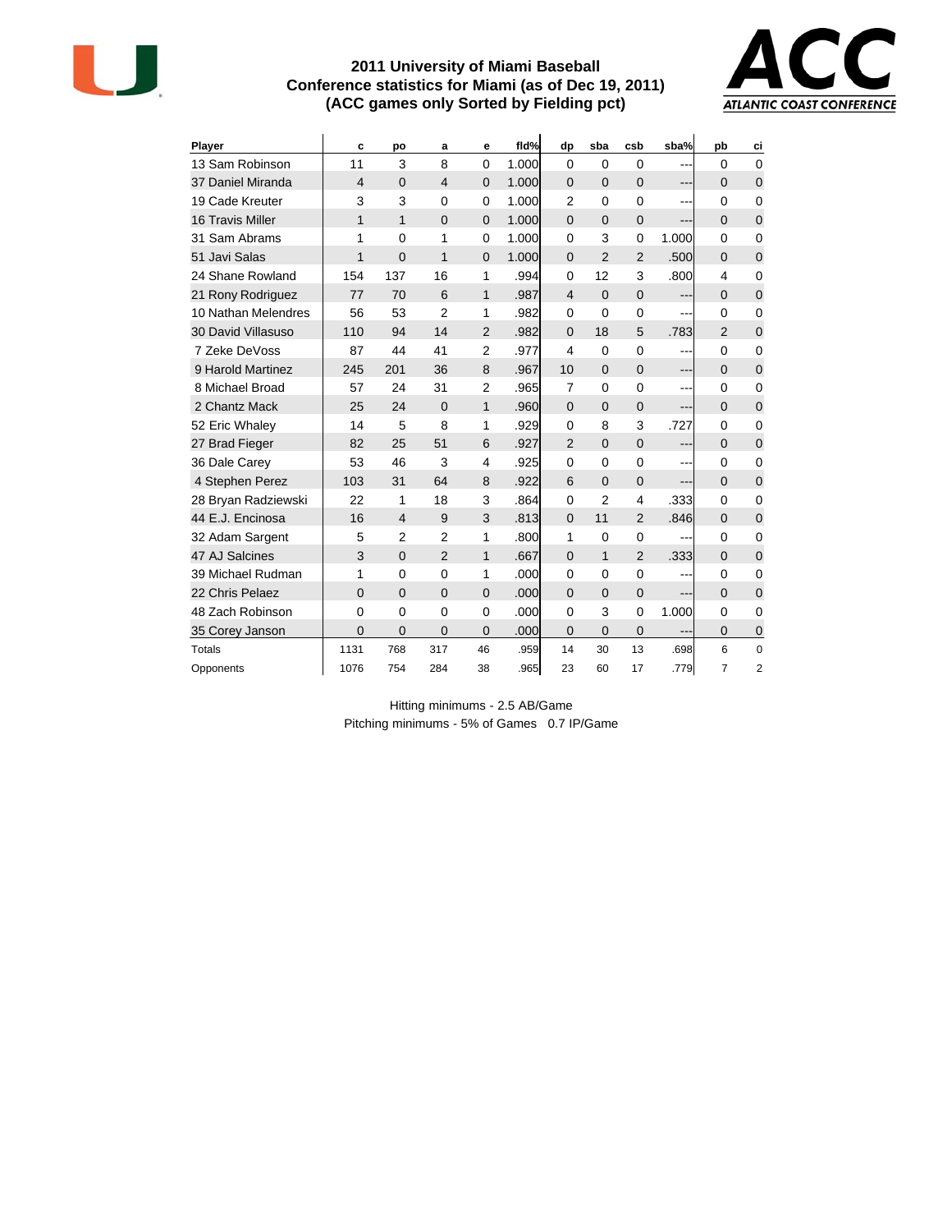

#### **2011 University of Miami Baseball Conference statistics for Miami (as of Dec 19, 2011) (ACC games only Sorted by Fielding pct)**



| <b>Player</b>           | C              | po             | a              | е              | fld%  | dp             | sba            | csb            | sba%    | pb             | ci             |
|-------------------------|----------------|----------------|----------------|----------------|-------|----------------|----------------|----------------|---------|----------------|----------------|
| 13 Sam Robinson         | 11             | 3              | 8              | $\overline{0}$ | 1.000 | $\Omega$       | $\Omega$       | 0              | ---     | $\Omega$       | $\Omega$       |
| 37 Daniel Miranda       | $\overline{4}$ | $\Omega$       | $\overline{4}$ | $\overline{0}$ | 1.000 | $\Omega$       | $\Omega$       | $\mathbf{0}$   | $---$   | $\Omega$       | $\mathbf{0}$   |
| 19 Cade Kreuter         | 3              | 3              | $\Omega$       | 0              | 1.000 | $\overline{2}$ | $\Omega$       | $\Omega$       | ---     | $\Omega$       | $\Omega$       |
| <b>16 Travis Miller</b> | 1              | $\mathbf{1}$   | $\Omega$       | $\overline{0}$ | 1.000 | $\Omega$       | $\Omega$       | $\mathbf 0$    | ---     | $\Omega$       | $\overline{0}$ |
| 31 Sam Abrams           | 1              | $\Omega$       | 1              | 0              | 1.000 | $\Omega$       | 3              | $\mathbf 0$    | 1.000   | $\Omega$       | $\Omega$       |
| 51 Javi Salas           | $\mathbf{1}$   | $\Omega$       | 1              | $\Omega$       | 1.000 | $\Omega$       | $\mathfrak{p}$ | $\overline{2}$ | .500    | $\Omega$       | $\Omega$       |
| 24 Shane Rowland        | 154            | 137            | 16             | 1              | .994  | $\Omega$       | 12             | 3              | .800    | 4              | $\mathbf 0$    |
| 21 Rony Rodriguez       | 77             | 70             | 6              | $\mathbf{1}$   | .987  | $\overline{4}$ | $\Omega$       | $\mathbf 0$    | ---     | $\Omega$       | $\mathbf 0$    |
| 10 Nathan Melendres     | 56             | 53             | $\overline{2}$ | 1              | .982  | $\Omega$       | $\Omega$       | $\mathbf 0$    | ---     | $\Omega$       | $\mathbf 0$    |
| 30 David Villasuso      | 110            | 94             | 14             | $\overline{2}$ | .982  | $\Omega$       | 18             | 5              | .783    | $\mathcal{P}$  | $\Omega$       |
| 7 Zeke DeVoss           | 87             | 44             | 41             | $\overline{2}$ | .977  | $\overline{4}$ | $\mathbf 0$    | $\mathbf 0$    | $---$   | $\Omega$       | $\mathbf 0$    |
| 9 Harold Martinez       | 245            | 201            | 36             | 8              | .967  | 10             | $\Omega$       | $\mathbf 0$    | ---     | $\Omega$       | $\mathbf 0$    |
| 8 Michael Broad         | 57             | 24             | 31             | $\overline{2}$ | .965  | $\overline{7}$ | $\Omega$       | $\mathbf 0$    | ---     | 0              | $\mathbf 0$    |
| 2 Chantz Mack           | 25             | 24             | $\Omega$       | 1              | .960  | $\Omega$       | $\Omega$       | $\Omega$       |         | $\Omega$       | $\overline{0}$ |
| 52 Eric Whaley          | 14             | 5              | 8              | 1              | .929  | $\Omega$       | 8              | 3              | .727    | $\Omega$       | 0              |
| 27 Brad Fieger          | 82             | 25             | 51             | 6              | .927  | $\mathcal{P}$  | $\Omega$       | $\overline{0}$ | $---$   | $\Omega$       | $\Omega$       |
| 36 Dale Carey           | 53             | 46             | 3              | 4              | .925  | 0              | $\Omega$       | 0              | $---$   | $\Omega$       | $\Omega$       |
| 4 Stephen Perez         | 103            | 31             | 64             | 8              | .922  | 6              | $\Omega$       | $\overline{0}$ | ---     | $\Omega$       | $\overline{0}$ |
| 28 Bryan Radziewski     | 22             | 1              | 18             | 3              | .864  | $\Omega$       | $\overline{2}$ | 4              | .333    | 0              | 0              |
| 44 E.J. Encinosa        | 16             | $\overline{4}$ | 9              | 3              | .813  | $\Omega$       | 11             | $\overline{2}$ | .846    | 0              | $\Omega$       |
| 32 Adam Sargent         | 5              | $\overline{2}$ | $\overline{2}$ | 1              | .800  | 1              | $\Omega$       | $\mathbf 0$    | ---     | $\Omega$       | $\mathbf 0$    |
| 47 AJ Salcines          | 3              | $\Omega$       | $\overline{2}$ | 1              | .667  | $\Omega$       | $\mathbf{1}$   | $\overline{2}$ | .333    | $\Omega$       | $\overline{0}$ |
| 39 Michael Rudman       | 1              | $\Omega$       | $\mathbf{0}$   | 1              | .000  | $\Omega$       | $\Omega$       | $\mathbf 0$    | $- - -$ | 0              | $\mathbf 0$    |
| 22 Chris Pelaez         | $\overline{0}$ | $\Omega$       | $\overline{0}$ | $\overline{0}$ | .000  | $\Omega$       | $\overline{0}$ | $\mathbf 0$    | ---     | $\Omega$       | $\mathbf{0}$   |
| 48 Zach Robinson        | 0              | $\Omega$       | 0              | 0              | .000  | $\Omega$       | 3              | 0              | 1.000   | $\Omega$       | $\Omega$       |
| 35 Corey Janson         | $\overline{0}$ | $\overline{0}$ | $\overline{0}$ | $\overline{0}$ | .000  | $\Omega$       | $\Omega$       | $\overline{0}$ |         | $\Omega$       | 0              |
| <b>Totals</b>           | 1131           | 768            | 317            | 46             | .959  | 14             | 30             | 13             | .698    | 6              | $\mathbf 0$    |
| Opponents               | 1076           | 754            | 284            | 38             | .965  | 23             | 60             | 17             | .779l   | $\overline{7}$ | 2              |

Hitting minimums - 2.5 AB/Game Pitching minimums - 5% of Games 0.7 IP/Game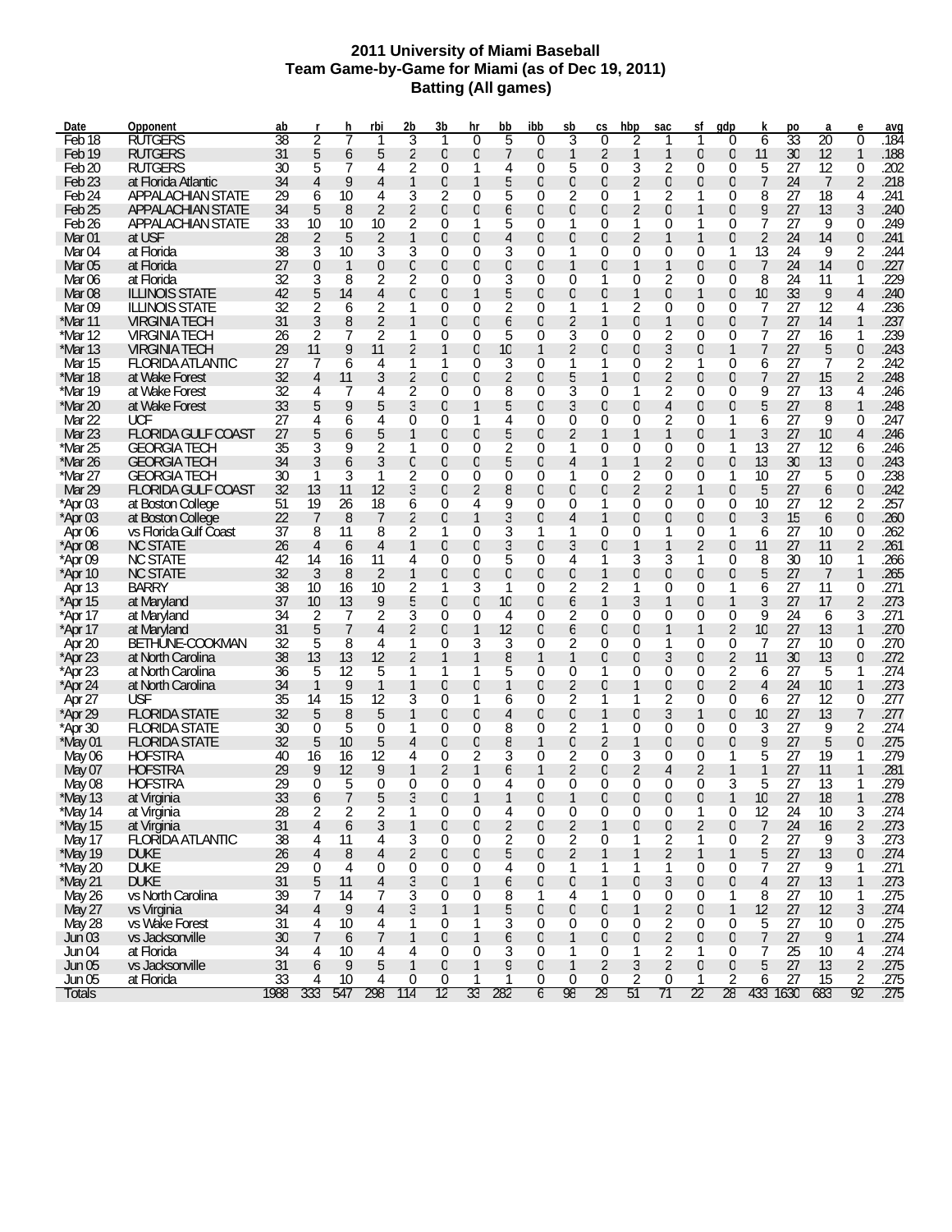#### **2011 University of Miami Baseball Team Game-by-Game for Miami (as of Dec 19, 2011) Batting (All games)**

| Date              | Opponent                  | ab   |                | h            | rbi            | 2b       | 3b               | hr               | bb             | ibb              | sb             | CS             | hbp              | sac              | sf               | qdp              | k              | po              | a               | e              | avq                 |
|-------------------|---------------------------|------|----------------|--------------|----------------|----------|------------------|------------------|----------------|------------------|----------------|----------------|------------------|------------------|------------------|------------------|----------------|-----------------|-----------------|----------------|---------------------|
| Feb <sub>18</sub> | RUTGERS                   | 38   | 2              |              | 1              | 3        | 1                | $\Omega$         | 5              | $\Omega$         | 3              | $\Omega$       | 2                |                  | 1                | $\Omega$         | 6              | $\overline{33}$ | $\overline{20}$ | $\theta$       | .184                |
| Feb 19            | <b>RUTGERS</b>            | 31   | 5              | 6            | 5              | 2        | $\theta$         | 0                | 7              | $\overline{0}$   | 1              | 2              | 1                | 1                | $\theta$         | $\overline{0}$   | 11             | 30              | 12              | 1              | .188                |
| Feb 20            | RUTGERS                   | 30   | 5              |              | 4              | 2        | $\theta$         | 1                | 4              | 0                | 5              | $\theta$       | 3                | 2                | 0                | 0                | 5              | 27              | 12              | 0              | .202                |
| Feb 23            | at Florida Atlantic       | 34   | 4              | 9            | 4              |          | $\theta$         | 1                | 5              | 0                | 0              | $\theta$       | 2                | $\overline{0}$   | $\theta$         | $\overline{0}$   | 7              | 24              | 7               | $\overline{2}$ | .218                |
| Feb 24            | <b>APPALACHIAN STATE</b>  | 29   | 6              | 10           | 4              | 3        | 2                | 0                | 5              | 0                | 2              | $\theta$       | 1                | 2                | 1                | 0                | 8              | 27              | 18              | 4              | .241                |
| Feb 25            | APPALACHIAN STATE         | 34   | 5              | 8            | 2              | 2        | $\theta$         | 0                | 6              | 0                | 0              | $\theta$       | 2                | $\overline{0}$   | 1                | $\overline{0}$   | 9              | 27              | 13              | 3              | .240                |
| Feb <sub>26</sub> | APPALACHIAN STATE         | 33   | 10             | 10           | 10             | 2        | $\theta$         |                  | 5              | 0                | 1              | $\theta$       | 1                | $\Omega$         |                  | 0                | 7              | 27              | 9               | $\Omega$       | .249                |
| Mar 01            | at USF                    | 28   | 2              | 5            | 2              |          | $\theta$         | 0                | 4              | 0                | 0              | $\theta$       | 2                |                  | 1                | 0                | 2              | 24              | 14              | $\overline{0}$ | .241                |
| Mar 04            | at Florida                | 38   | 3              | 10           | 3              | 3        | $\theta$         | 0                | 3              | 0                | 1              | $\Omega$       | 0                | $\Omega$         | 0                | 1                | 13             | 24              | 9               | 2              | .244                |
| Mar 05            | at Florida                | 27   | $\theta$       | $\mathbf{1}$ | $\overline{0}$ | 0        | $\theta$         | 0                | 0              | 0                |                | $\theta$       | 1                |                  | $\theta$         | $\overline{0}$   | 7              | 24              | 14              | $\overline{0}$ | .227                |
| Mar 06            | at Florida                | 32   | 3              | 8            | 2              | 2        | $\theta$         | 0                | 3              | 0                | 0              | 1              | 0                |                  | 0                | 0                | 8              | 24              | 11              |                | .229                |
| Mar 08            | <b>ILLINOIS STATE</b>     |      |                |              |                |          |                  | 1                |                |                  |                |                |                  | 2                | $\mathbf{1}$     |                  |                |                 |                 | $\overline{4}$ |                     |
|                   |                           | 42   | 5              | 14           | 4              | $\Omega$ | $\theta$         |                  | 5              | 0                | 0              | $\theta$       | 1                | $\overline{0}$   |                  | $\overline{0}$   | 10             | 33              | 9               |                | .240                |
| Mar 09            | <b>ILLINOIS STATE</b>     | 32   | 2              | 6            | 2              |          | $\theta$         | 0                | 2              | 0                | 1              | 1              | 2                | 0                | 0                | 0                | 7              | 27              | 12              | 4              | .236                |
| *Mar 11           | <b>VIRGINIA TECH</b>      | 31   | 3              | 8            | 2              |          | $\theta$         | 0                | 6              | 0                | 2              | 1              | 0                |                  | $\theta$         | $\overline{0}$   | 7              | 27              | 14              |                | .237                |
| *Mar 12           | <b>VIRGINIA TECH</b>      | 26   | 2              |              | 2              | 1        | $\theta$         | 0                | 5              | 0                | 3              | $\Omega$       | 0                | 2                | 0                | 0                | 7              | 27              | 16              |                | .239                |
| *Mar 13           | <b>VIRGINIA TECH</b>      | 29   | 11             | 9            | 11             | 2        | 1                | 0                | 10             | 1                | 2              | $\theta$       | 0                | 3                | $\theta$         | 1                | 7              | 27              | 5               | $\theta$       | .243                |
| Mar 15            | <b>FLORIDA ATLANTIC</b>   | 27   |                | 6            | 4              | 1        | 1                | 0                | 3              | 0                |                | 1              | 0                | 2                | 1                | 0                | 6              | 27              | 7               | 2              | .242                |
| *Mar 18           | at Wake Forest            | 32   | 4              | 11           | 3              | 2        | $\theta$         | 0                | 2              | 0                | 5              | 1              | 0                | 2                | $\theta$         | $\overline{0}$   | 7              | 27              | 15              | $\overline{2}$ | .248                |
| *Mar 19           | at Wake Forest            | 32   | 4              |              | 4              | 2        | $\theta$         | 0                | 8              | 0                | 3              | $\Omega$       | 1                | 2                | 0                | 0                | 9              | 27              | 13              | 4              | .246                |
| *Mar 20           | at Wake Forest            | 33   | 5              | 9            | 5              | 3        | $\Omega$         | 1                | 5              | 0                | 3              | $\theta$       | 0                | 4                | $\overline{0}$   | 0                | 5              | 27              | 8               | 1              | .248                |
| Mar 22            | <b>UCF</b>                | 27   | 4              | 6            | 4              | 0        | $\theta$         | 1                | 4              | 0                | 0              | $\Omega$       | 0                | 2                | 0                | 1                | 6              | 27              | 9               | $\Omega$       | .247                |
| Mar 23            | <b>FLORIDA GULF COAST</b> | 27   | 5              | 6            | 5              |          | $\overline{0}$   | 0                | 5              | 0                | 2              | 1              | 1                |                  | 0                | 1                | 3              | 27              | 10              | 4              | .246                |
| *Mar 25           | <b>GEORGIA TECH</b>       | 35   | 3              | 9            | 2              |          | $\theta$         | 0                | 2              | 0                | 1              | 0              | 0                | 0                | 0                | 1                | 13             | 27              | 12              | 6              | .246                |
| *Mar 26           | <b>GEORGIA TECH</b>       | 34   | 3              | 6            | 3              | 0        | $\overline{0}$   | 0                | 5              | 0                | 4              | 1              | 1                | 2                | $\overline{0}$   | 0                | 13             | 30              | 13              | $\overline{0}$ | .243                |
| *Mar 27           | <b>GEORGIA TECH</b>       | 30   |                | 3            | 1              | 2        | $\theta$         | 0                | 0              | 0                | 1              | $\Omega$       | 2                | $\Omega$         | 0                | 1                | 10             | 27              | 5               | $\Omega$       | .238                |
| Mar 29            | <b>FLORIDA GULF COAST</b> | 32   | 13             | 11           | 12             | 3        | $\overline{0}$   | 2                | 8              | 0                | $\Omega$       | $\theta$       | 2                | 2                | $\mathbf{1}$     | $\Omega$         | 5              | 27              | 6               | $\overline{0}$ | .242                |
| $*$ Apr 03        | at Boston College         | 51   | 19             | 26           | 18             | 6        | 0                | 4                | 9              | 0                | 0              | 1              | 0                | $\Omega$         | 0                | 0                | 10             | 27              | 12              | 2              | .257                |
| $*$ Apr 03        | at Boston College         | 22   | 7              | 8            | 7              | 2        | $\Omega$         |                  | 3              | 0                | 4              | 1              | 0                | 0                | $\overline{0}$   | $\overline{0}$   | 3              | 15              | 6               | $\overline{0}$ | .260                |
| Apr 06            | vs Florida Gulf Coast     | 37   | 8              | 11           | 8              | 2        | 1                | 0                | 3              |                  |                | $\Omega$       | 0                |                  | 0                | 1                | 6              | 27              | 10              | 0              | .262                |
| *Apr 08           | <b>NC STATE</b>           | 26   | $\overline{4}$ | 6            | 4              |          | $\Omega$         | 0                | 3              | $\overline{0}$   | 3              | $\theta$       | 1                |                  | 2                | $\overline{0}$   | 11             | 27              | 11              | 2              | .261                |
| *Apr 09           | <b>NC STATE</b>           | 42   | 14             | 16           | 11             | 4        | $\theta$         | 0                | 5              | 0                | 4              | 1              | 3                | 3                | 1                | 0                | 8              | 30              | 10              |                | .266                |
| $*$ Apr 10        | <b>NC STATE</b>           | 32   | 3              | 8            | 2              |          | $\overline{0}$   | 0                | 0              | 0                | 0              | 1              | 0                | 0                | $\overline{0}$   | $\overline{0}$   | 5              | 27              | 7               | $\mathbf{1}$   | .265                |
|                   | <b>BARRY</b>              | 38   | 10             |              | 10             |          | 1                | 3                | 1              | 0                | 2              | 2              | 1                | 0                | 0                | 1                |                | 27              | 11              | 0              | .271                |
| Apr 13            |                           |      |                | 16           |                | 2        | $\Omega$         |                  |                |                  |                |                |                  |                  |                  | 1                | 6              |                 |                 |                |                     |
| *Apr 15           | at Maryland               | 37   | 10             | 13           | 9              | 5        |                  | 0                | 10             | 0                | 6              | 1              | 3                |                  | 0                |                  | 3              | 27              | 17              | $\overline{2}$ | .273                |
| *Apr 17           | at Maryland               | 34   | 2              | 7            | 2              | 3        | $\theta$         | 0                | 4              | 0                | 2              | $\theta$       | 0                | $\Omega$         | 0                | 0                | 9              | 24              | 6               | 3              | .271                |
| $*$ Apr 17        | at Maryland               | 31   | 5              | 7            | 4              | 2        | $\Omega$         | 1                | 12             | 0                | 6              | $\theta$       | 0                |                  | $\mathbf{1}$     | 2                | 10             | 27              | 13              | 1              | .270                |
| Apr 20            | BETHUNE-COOKMAN           | 32   | 5              | 8            | 4              |          | $\Omega$         | 3                | 3              | 0                | 2              | $\Omega$       | 0                |                  | 0                | 0                | 7              | 27              | 10              | 0              | .270                |
| $*$ Apr 23        | at North Carolina         | 38   | 13             | 13           | 12             | 2        | 1                | 1                | 8              | 1                | 1              | $\theta$       | 0                | 3                | $\theta$         | 2                | 11             | 30              | 13              | $\theta$       | .272                |
| $*$ Apr 23        | at North Carolina         | 36   | 5              | 12           | 5              | 1        | 1                | 1                | 5              | 0                | 0              | 1              | 0                | 0                | 0                | 2                | 6              | 27              | 5               |                | .274                |
| $*$ Apr 24        | at North Carolina         | 34   | 1              | 9            | 1              | 1        | $\theta$         | 0                |                | 0                | 2              | $\Omega$       | 1                | 0                | $\theta$         | 2                | 4              | 24              | 10              | $\mathbf{1}$   | .273                |
| Apr 27            | <b>USF</b>                | 35   | 14             | 15           | 12             | 3        | $\theta$         | 1                | 6              | 0                | 2              | 1              | 1                | 2                | 0                | 0                | 6              | 27              | 12              | 0              | .277                |
| $*$ Apr 29        | <b>FLORIDA STATE</b>      | 32   | 5              | 8            | 5              |          | $\theta$         | 0                | 4              | 0                | 0              | 1              | 0                | 3                | $\mathbf{1}$     | $\overline{0}$   | 10             | 27              | 13              | 7              | .277                |
| *Apr 30           | <b>FLORIDA STATE</b>      | 30   | $\Omega$       | 5            | $\theta$       |          | $\theta$         | 0                | 8              | 0                | 2              | 1              | 0                | $\Omega$         | 0                | 0                | 3              | 27              | 9               | 2              | .274                |
| *May 01           | <b>FLORIDA STATE</b>      | 32   | 5              | 10           | 5              | 4        | $\theta$         | 0                | 8              |                  | 0              | $\overline{2}$ | 1                | 0                | $\theta$         | $\overline{0}$   | 9              | 27              | 5               | $\theta$       | .275                |
| May 06            | <b>HOFSTRA</b>            | 40   | 16             | 16           | 12             | 4        | 0                | 2                | 3              | 0                | 2              | $\Omega$       | 3                | 0                | 0                | 1                | 5              | 27              | 19              |                | .279                |
| May 07            | <b>HOFSTRA</b>            | 29   | 9              | 12           | 9              |          | 2                | 1                | 6              |                  | 2              | $\theta$       | 2                | 4                | 2                | 1                | 1              | 27              | 11              |                | .281                |
| May 08            | <b>HOFSTRA</b>            | 29   | 0              | 5            | 0              | 0        | 0                | 0                | 4              | 0                | 0              | 0              | 0                | $\Omega$         | 0                | 3                | 5              | 27              | 13              |                | .279                |
| $*$ May 13        | at Virginia               | 33   | 6              | 7            | 5              | 3        | $\theta$         | 1                |                | $\Omega$         |                | $\Omega$       | 0                | $\overline{0}$   | $\overline{0}$   | $\mathbf{1}$     | 10             | 27              | 18              | 1              | .278                |
| *May 14           | at Virginia               | 28   |                | 2            |                |          | $\Omega$         | 0                | 4              | 0                | 0              | $\Omega$       | 0                | 0                |                  | 0                | 12             | 24              | 10              | 3              | .274                |
| *May 15           | at Virginia               | 31   | $\overline{4}$ | 6            | 3              | 1        | $\boldsymbol{0}$ | $\boldsymbol{0}$ | $\overline{2}$ | $\mathbf 0$      | $\overline{2}$ | $\mathbf{1}$   | $\boldsymbol{0}$ | $\boldsymbol{0}$ | $\overline{2}$   | $\theta$         | $\overline{7}$ | 24              | 16              | $\overline{2}$ | .273                |
| May 17            | <b>FLORIDA ATLANTIC</b>   | 38   | 4              | 11           | 4              | 3        | $\boldsymbol{0}$ | 0                | 2              | $\boldsymbol{0}$ | 2              | $\overline{0}$ | 1                | 2                | 1                | 0                | 2              | 27              | 9               | 3              | .273                |
| *May 19           | <b>DUKE</b>               | 26   | $\overline{4}$ | 8            | 4              | 2        | $\mathbf 0$      | 0                | 5              | 0                | 2              | $\mathbf{1}$   | 1                | $\overline{2}$   | 1                | 1                | 5              | 27              | 13              | $\theta$       | .274                |
| *May 20           | <b>DUKE</b>               | 29   | 0              | 4            | $\mathbf 0$    | 0        | 0                | 0                | 4              | $\mathbf 0$      | 1              | 1              | 1                | 1                | 0                | 0                | 7              | 27              | 9               | 1              | .271                |
| *May 21           | <b>DUKE</b>               | 31   | 5              | 11           | 4              | 3        | $\theta$         | 1                | 6              | 0                | 0              | $\mathbf{1}$   | $\boldsymbol{0}$ | 3                | $\theta$         | $\theta$         | $\overline{4}$ | 27              | 13              | $\mathbf{1}$   | .273                |
| <b>May 26</b>     | vs North Carolina         | 39   | 7              | 14           | 7              | 3        | 0                | 0                | 8              | 1                | 4              | 1              | 0                | 0                | 0                | 1                | 8              | 27              | 10              | 1              | .275                |
| May 27            | vs Virginia               | 34   | $\overline{4}$ | 9            | 4              | 3        | $\mathbf{1}$     | 1                | 5              | 0                | 0              | $\mathbf 0$    | 1                | 2                | 0                | 1                | 12             | 27              | 12              | 3              | .274                |
| May 28            | vs Wake Forest            | 31   | 4              | 10           | 4              |          | 0                | 1                | 3              | $\mathbf 0$      | 0              | $\overline{0}$ | $\overline{0}$   | 2                | 0                | 0                | 5              | 27              | 10              | 0              | .275                |
|                   | vs Jacksonville           | 30   |                | 6            | 7              | 1        | $\boldsymbol{0}$ | 1                |                | 0                |                | $\mathbf 0$    | $\theta$         | $\overline{2}$   | $\mathbf 0$      | $\boldsymbol{0}$ | 7              | 27              |                 | $\mathbf{1}$   |                     |
| <b>Jun 03</b>     | at Florida                | 34   | 7              | 10           |                |          | 0                | 0                | 6              | $\mathbf 0$      | 1              |                | 1                |                  | 1                | 0                |                | 25              | 9               |                | .274<br>.274        |
| Jun 04            |                           |      | 4              |              | 4              | 4        |                  |                  | 3              |                  | 1              | 0              |                  | 2                |                  |                  | 7              |                 | 10              | 4              |                     |
| <b>Jun 05</b>     | vs Jacksonville           | 31   | 6              | 9            | 5              | 1        | $\mathbf 0$      | $\mathbf{1}$     | 9              | 0                | 1              | $\overline{2}$ | 3                | $\overline{2}$   | $\boldsymbol{0}$ | $\theta$         | 5              | 27              | 13              | $\overline{2}$ | .275                |
| Jun 05            | at Florida                | 33   | 4              | 10           | 4              | 0        | 0                |                  |                | $\bf{0}$         | 0              | 0              | 2                | 0                |                  | 2                | 6              | 27              | 15              | 2              | $\frac{.275}{.275}$ |
| Totals            |                           | 1988 | 333            | 547          | 298            | 114      | 12               | 33               | 282            | 6                | 98             | 29             | 51               | 71               | 22               | 28               |                | 433 1630        | 683             | 92             |                     |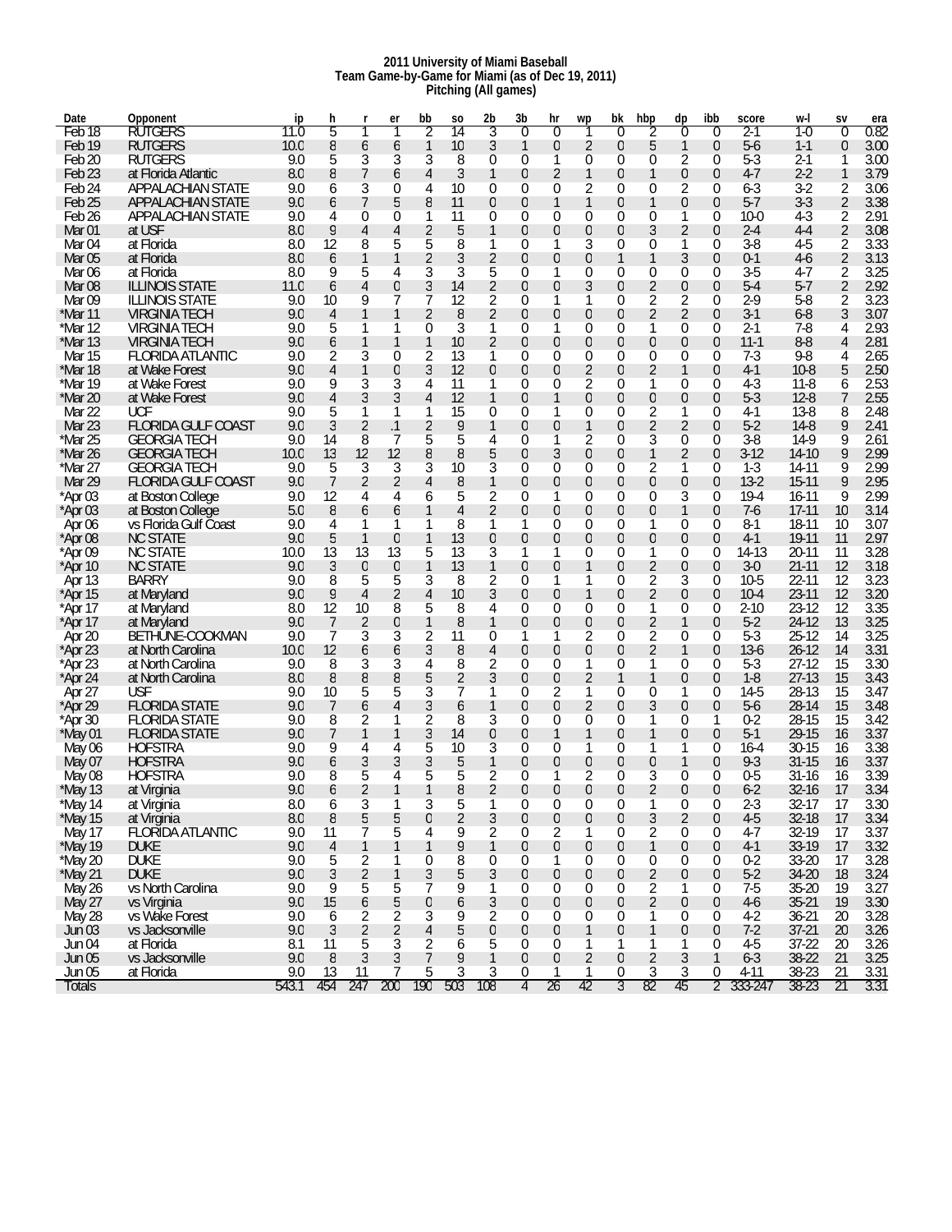#### **2011 University of Miami Baseball Team Game-by-Game for Miami (as of Dec 19, 2011) Pitching (All games)**

| Date              | Opponent                  | ip    | h              |                  | er             | bb          | SO             | 2b             | 3b               | hr             | wp               | bk               | hbp            | dp               | ibb          | score    | w-l       | SV          | era          |
|-------------------|---------------------------|-------|----------------|------------------|----------------|-------------|----------------|----------------|------------------|----------------|------------------|------------------|----------------|------------------|--------------|----------|-----------|-------------|--------------|
| Feb <sub>18</sub> | <b>RUTGERS</b>            | 11.0  | 5              |                  |                | 2           | 14             | 3              | $\theta$         | $\theta$       |                  | $\theta$         | 2              | 0                | 0            | 2-1      | 1-0       | $\mathbf 0$ | 0.82         |
| Feb <sub>19</sub> | <b>RUTGERS</b>            | 10.0  | 8              | 6                | 6              |             | 10             | 3              | 1                | $\overline{0}$ | 2                | $\mathbf 0$      | 5              | 1                | 0            | $5-6$    | $1 - 1$   | 0           | 3.00         |
| Feb 20            | <b>RUTGERS</b>            | 9.0   | 5              | 3                | 3              | 3           | 8              | 0              | 0                | 1              | 0                | 0                | 0              | 2                | 0            | $5 - 3$  | $2 - 1$   | 1           | 3.00         |
| Feb <sub>23</sub> | at Florida Atlantic       | 8.0   | 8              | 7                | 6              | 4           | 3              | $\mathbf{1}$   | $\overline{0}$   | 2              | 1                | 0                |                | 0                | 0            | $4 - 7$  | $2 - 2$   | 1           | 3.79         |
| Feb <sub>24</sub> | <b>APPALACHIAN STATE</b>  | 9.0   | 6              | 3                | 0              | 4           | 10             | 0              | 0                | 0              | 2                | 0                | 0              | 2                | 0            | 6-3      | $3-2$     | 2           | 3.06         |
| Feb <sub>25</sub> | <b>APPALACHIAN STATE</b>  | 9.0   | 6              | 7                | 5              | 8           | 11             | 0              | 0                | 1              | 1                | $\overline{0}$   | 1              | 0                | 0            | $5 - 7$  | $3 - 3$   | 2           | 3.38         |
| Feb <sub>26</sub> | APPALACHIAN STATE         | 9.0   |                |                  |                |             | 11             |                |                  |                |                  |                  | 0              |                  | 0            |          | $4-3$     |             | 2.91         |
|                   |                           |       | 4              | $\overline{0}$   | 0              | 1           |                | 0              | 0                | 0              | 0                | 0                |                | 1                |              | 10-0     |           | 2           |              |
| Mar <sub>01</sub> | at USF                    | 8.0   | 9              | 4                | 4              | 2           | 5              | $\mathbf{1}$   | 0                | $\overline{0}$ | $\theta$         | 0                | 3              | $\overline{2}$   | 0            | $2 - 4$  | $4 - 4$   | 2           | 3.08         |
| Mar <sub>04</sub> | at Florida                | 8.0   | 12             | 8                | 5              | 5           | 8              | 1              | 0                |                | 3                | 0                | 0              | 1                | 0            | $3 - 8$  | $4-5$     | 2           | 3.33         |
| Mar <sub>05</sub> | at Florida                | 8.0   | 6              | 1                |                | 2           | 3              | $\overline{2}$ | 0                | $\overline{0}$ | $\mathbf 0$      | 1                | 1              | 3                | 0            | $0 - 1$  | $4-6$     | 2           | 3.13         |
| Mar 06            | at Florida                | 8.0   | 9              | 5                | 4              | 3           | 3              | 5              | 0                | 1              | 0                | 0                | 0              | 0                | 0            | $3 - 5$  | $4-7$     | 2           | 3.25         |
| Mar <sub>08</sub> | <b>ILLINOIS STATE</b>     | 11.0  | 6              | 4                | 0              | 3           | 14             | $\overline{2}$ | 0                | $\overline{0}$ | 3                | 0                | 2              | 0                | 0            | $5 - 4$  | $5 - 7$   | 2           | 2.92         |
| Mar 09            | <b>ILLINOIS STATE</b>     | 9.0   | 10             | 9                | 7              |             | 12             | 2              | 0                | 1              |                  | 0                | 2              | 2                | 0            | $2-9$    | $5 - 8$   | 2           | 3.23         |
| *Mar 11           | VIRGINIA TECH             | 9.0   | $\overline{4}$ |                  | 1              | 2           | 8              | 2              | 0                | $\overline{0}$ | $\theta$         | 0                | 2              | $\overline{2}$   | 0            | $3 - 1$  | $6 - 8$   | 3           | 3.07         |
| $*$ Mar 12        | <b>VIRGINIA TECH</b>      | 9.0   | 5              |                  | 1              | 0           | 3              | 1              | 0                | 1              | 0                | 0                | 1              | 0                | 0            | $2 - 1$  | 7-8       | 4           | 2.93         |
| *Mar 13           | VIRGINIA TECH             | 9.0   | 6              |                  | 1              | 1           | 10             | 2              | 0                | $\overline{0}$ | $\theta$         | 0                | 0              | 0                | 0            | $11 - 1$ | $8 - 8$   | 4           | 2.81         |
| Mar 15            | <b>FLORIDA ATLANTIC</b>   | 9.0   | 2              | 3                | 0              | 2           | 13             | 1              | 0                | 0              | 0                | 0                | 0              | 0                | 0            | $7-3$    | $9 - 8$   | 4           | 2.65         |
| *Mar 18           | at Wake Forest            | 9.0   | 4              |                  | $\overline{0}$ | 3           | 12             | 0              | 0                | $\overline{0}$ | 2                | $\overline{0}$   | 2              | 1                | 0            | $4-1$    | $10 - 8$  | 5           | 2.50         |
| *Mar 19           | at Wake Forest            | 9.0   | 9              | 3                | 3              | 4           | 11             | 1              | 0                | 0              | 2                | 0                | 1              | 0                | 0            | 4-3      | $11-8$    | 6           | 2.53         |
| *Mar 20           | at Wake Forest            | 9.0   | 4              | 3                | 3              | 4           | 12             | $\mathbf{1}$   | 0                | 1              | $\theta$         | $\overline{0}$   | 0              | 0                | 0            | $5 - 3$  | $12 - 8$  | 7           | 2.55         |
| Mar 22            | UCF                       | 9.0   | 5              |                  |                | 1           | 15             | 0              | 0                | 1              | 0                | 0                | 2              | 1                | 0            | 4-1      | $13-8$    | 8           | 2.48         |
| Mar 23            | <b>FLORIDA GULF COAST</b> | 9.0   | 3              | 2                | .1             | 2           | 9              | $\mathbf{1}$   | $\overline{0}$   | $\overline{0}$ | 1                | 0                | 2              | $\overline{2}$   | 0            | $5 - 2$  | $14-8$    | 9           | 2.41         |
| *Mar 25           | <b>GEORGIA TECH</b>       | 9.0   | 14             | 8                | 7              | 5           | 5              | 4              | 0                | 1              | 2                | 0                | 3              | 0                | 0            | $3 - 8$  | $14-9$    | 9           | 2.61         |
| *Mar 26           | <b>GEORGIA TECH</b>       |       | 13             | 12               | 12             | 8           | 8              |                | $\overline{0}$   | 3              |                  | $\overline{0}$   | 1              |                  | 0            | $3-12$   | $14-10$   |             | 2.99         |
| *Mar 27           |                           | 10.0  |                |                  |                |             |                | 5              |                  |                | $\mathbf 0$      |                  |                | 2                |              |          |           | 9           |              |
|                   | <b>GEORGIA TECH</b>       | 9.0   | 5              | 3                | 3              | 3           | 10             | 3              | 0                | 0              | 0                | 0                | 2              | 1                | 0            | $1 - 3$  | 14-11     | 9           | 2.99         |
| Mar 29            | <b>FLORIDA GULF COAST</b> | 9.0   | 7              | $\overline{2}$   | 2              | 4           | 8              | $\mathbf{1}$   | 0                | $\overline{0}$ | $\theta$         | $\overline{0}$   | 0              | $\theta$         | 0            | $13-2$   | $15-11$   | 9           | 2.95         |
| *Apr 03           | at Boston College         | 9.0   | 12             | 4                | 4              | 6           | 5              | 2              | 0                | 1              | 0                | 0                | 0              | 3                | 0            | $19 - 4$ | 16-11     | 9           | 2.99         |
| *Apr 03           | at Boston College         | 5.0   | 8              | 6                | 6              |             | 4              | 2              | 0                | $\overline{0}$ | $\theta$         | 0                | 0              | 1                | 0            | $7-6$    | $17 - 11$ | 10          | 3.14         |
| Apr 06            | vs Florida Gulf Coast     | 9.0   | 4              |                  | 1              |             | 8              | 1              | 1                | 0              | 0                | 0                | 1              | 0                | 0            | $8 - 1$  | 18-11     | 10          | 3.07         |
| *Apr 08           | <b>NC STATE</b>           | 9.0   | 5              | $\mathbf{1}$     | $\overline{0}$ | 1           | 13             | 0              | 0                | 0              | $\theta$         | $\overline{0}$   | 0              | 0                | 0            | $4-1$    | 19-11     | 11          | 2.97         |
| *Apr 09           | <b>NC STATE</b>           | 10.0  | 13             | 13               | 13             | 5           | 13             | 3              | 1                | 1              | 0                | 0                | 1              | 0                | 0            | 14-13    | $20 - 11$ | 11          | 3.28         |
| *Apr 10           | <b>NC STATE</b>           | 9.0   | 3              | $\boldsymbol{0}$ | $\mathbf 0$    | 1           | 13             | 1              | $\overline{0}$   | $\overline{0}$ | 1                | 0                | 2              | 0                | 0            | $3-0$    | $21 - 11$ | 12          | 3.18         |
| Apr 13            | <b>BARRY</b>              | 9.0   | 8              | 5                | 5              | 3           | 8              | 2              | 0                | 1              |                  | 0                | 2              | 3                | 0            | $10-5$   | 22-11     | 12          | 3.23         |
| *Apr 15           | at Maryland               | 9.0   | 9              | 4                | 2              | 4           | 10             | 3              | 0                | $\overline{0}$ | 1                | $\overline{0}$   | 2              | 0                | 0            | $10 - 4$ | 23-11     | 12          | 3.20         |
| *Apr 17           | at Maryland               | 8.0   | 12             | 10               | 8              | 5           | 8              | 4              | 0                | 0              | 0                | 0                | 1              | 0                | 0            | 2-10     | $23 - 12$ | 12          | 3.35         |
| *Apr 17           | at Maryland               | 9.0   | 7              | $\overline{2}$   | 0              | 1           | 8              | $\mathbf{1}$   | 0                | $\overline{0}$ | $\theta$         | 0                | 2              | 1                | 0            | $5-2$    | 24-12     | 13          | 3.25         |
| Apr 20            | BETHUNE-COOKMAN           | 9.0   | 7              | 3                | 3              | 2           | 11             | 0              | 1                |                | 2                | 0                | 2              | 0                | 0            | $5-3$    | $25 - 12$ | 14          | 3.25         |
| *Apr 23           | at North Carolina         | 10.0  | 12             | 6                | 6              | 3           | 8              | 4              | $\overline{0}$   | $\overline{0}$ | $\theta$         | 0                | 2              | 1                | 0            | $13-6$   | $26 - 12$ | 14          | 3.31         |
| *Apr 23           | at North Carolina         | 9.0   | 8              | 3                | 3              | 4           | 8              | 2              | 0                | 0              | 1                | 0                |                | 0                | 0            | $5-3$    | $27-12$   | 15          | 3.30         |
| *Apr 24           | at North Carolina         | 8.0   | 8              | 8                | 8              | 5           | $\overline{2}$ | 3              | $\overline{0}$   | $\overline{0}$ | 2                | 1                | 1              | 0                | 0            | $1 - 8$  | $27-13$   | 15          | 3.43         |
| Apr 27            | USF                       | 9.0   | 10             | 5                | 5              | 3           | 7              |                | 0                | 2              |                  | 0                | 0              | 1                | 0            | $14-5$   | 28-13     | 15          | 3.47         |
| *Apr 29           | FLORIDA STATE             | 9.0   | 7              | 6                | 4              | 3           | 6              | 1              | $\overline{0}$   | $\overline{0}$ | 2                | $\overline{0}$   | 3              | 0                | 0            | $5-6$    | 28-14     | 15          | 3.48         |
| *Apr 30           | <b>FLORIDA STATE</b>      | 9.0   | 8              | 2                |                | 2           | 8              | 3              | 0                | 0              | 0                | 0                |                | 0                | 1            | $0 - 2$  | 28-15     | 15          | 3.42         |
|                   | <b>FLORIDA STATE</b>      | 9.0   | 7              | 1                |                |             |                |                | 0                | 1              | 1                | 0                | 1              |                  |              | $5-1$    | 29-15     |             | 3.37         |
| *May 01           |                           |       |                |                  |                | 3           | 14             | 0              |                  |                |                  |                  |                | 0                | 0            |          |           | 16          |              |
| May 06            | HOFSTRA                   | 9.0   | 9              | 4                | 4              | 5           | 10             | 3              | 0                | 0              |                  | 0                | 1              | 1                | 0            | 16-4     | $30 - 15$ | 16          | 3.38         |
| May 07            | HOFSTRA                   | 9.0   | 6              | 3                | 3              | 3           | 5              | $\mathbf{1}$   | 0                | $\overline{0}$ | $\theta$         | $\overline{0}$   | 0              | 1                | 0            | $9 - 3$  | $31 - 15$ | 16          | 3.37         |
| May 08            | HOFSTRA                   | 9.0   | 8              | 5                | 4              | 5           | 5              | 2              | 0                |                | 2                | 0                | 3              | 0                | 0            | $0 - 5$  | $31 - 16$ | 16          | 3.39         |
| *May 13           | at Virginia               | 9.0   | 6              | 2                | 1              |             | 8              | $\overline{2}$ | 0                | $\overline{0}$ | $\theta$         | 0                | 2              | 0                | 0            | $6 - 2$  | $32 - 16$ | 17          | 3.34         |
| *Mav 14           | at Virginia               | 8.0   | 6              |                  |                |             | 5              |                | 0                | 0              | 0                | 0                |                | 0                | 0            | 2-3      | 32-17     | 17          | 3.30         |
| *May 15           | at Virginia               | 8.0   | 8              | 5                | 5              | $\mathbf 0$ | $\overline{2}$ | 3              | $\mathbf{0}$     | $\theta$       | $\boldsymbol{0}$ | $\mathbf 0$      | 3              | $\overline{2}$   | $\mathbf 0$  | $4 - 5$  | 32-18     | 17          | 3.34         |
| May 17            | FLORIDA ATLANTIC          | 9.0   | 11             | 7                | 5              | 4           | 9              | 2              | 0                | 2              |                  | 0                | 2              | 0                | 0            | 4-7      | 32-19     | 17          | 3.37         |
| *May 19           | <b>DUKE</b>               | 9.0   | $\overline{4}$ | 1                | 1              | 1           | 9              | $\mathbf{1}$   | $\boldsymbol{0}$ | 0              | $\boldsymbol{0}$ | 0                | 1              | $\boldsymbol{0}$ | 0            | $4-1$    | 33-19     | 17          | 3.32         |
| *May 20           | <b>DUKE</b>               | 9.0   | 5              | 2                | 1              | 0           | 8              | 0              | 0                | 1              | 0                | 0                | 0              | 0                | 0            | $0 - 2$  | 33-20     | 17          | 3.28         |
| *May 21           | <b>DUKE</b>               | 9.0   | 3              | $\overline{2}$   | 1              | 3           | 5              | 3              | $\boldsymbol{0}$ | 0              | $\boldsymbol{0}$ | 0                | 2              | $\mathbf 0$      | 0            | $5-2$    | 34-20     | 18          | 3.24         |
| May 26            | vs North Carolina         | 9.0   | 9              | 5                | 5              | 7           | 9              | 1              | 0                | 0              | 0                | 0                | 2              | 1                | 0            | $7-5$    | 35-20     | 19          | 3.27         |
| May 27            | vs Virginia               | 9.0   | 15             | 6                | 5              | 0           | 6              | 3              | $\boldsymbol{0}$ | 0              | $\boldsymbol{0}$ | $\theta$         | 2              | $\mathbf 0$      | 0            | $4-6$    | $35 - 21$ | 19          | 3.30         |
| May 28            | vs Wake Forest            | 9.0   | 6              | 2                | 2              | 3           | 9              | 2              | 0                | 0              | 0                | 0                | 1              | 0                | 0            | $4 - 2$  | $36 - 21$ | 20          | 3.28         |
| Jun 03            | vs Jacksonville           | 9.0   | 3              | $\overline{2}$   | 2              | 4           | 5              | 0              | $\boldsymbol{0}$ | $\overline{0}$ | $\mathbf{1}$     | $\theta$         | 1              | 0                | $\mathbf 0$  | $7 - 2$  | $37 - 21$ | 20          | 3.26         |
| Jun 04            | at Florida                | 8.1   | 11             | 5                | 3              | 2           | 6              | 5              | 0                | 0              | 1                | 1                | 1              | 1                | 0            | $4 - 5$  | $37 - 22$ | 20          | 3.26         |
| <b>Jun 05</b>     | vs Jacksonville           | 9.0   | 8              | $\mathfrak{Z}$   | 3              | 7           | 9              | $\mathbf{1}$   | $\boldsymbol{0}$ | 0              | $\overline{2}$   | $\boldsymbol{0}$ | $\overline{2}$ | 3                | $\mathbf{1}$ | $6 - 3$  | 38-22     | 21          | 3.25         |
| <b>Jun 05</b>     | at Florida                | 9.0   | 13             | 11               | 7              | 5           | 3              | 3              | 0                |                |                  | 0                | 3              | 3                | 0            | 4-11     | 38-23     | 21          |              |
| <b>Totals</b>     |                           | 543.1 | 454            | 247              | 200            | 190         | 503            | 108            | $\overline{4}$   | 26             | 42               | 3                | 82             | 45               | 2            | 333-247  | 38-23     | 21          | 3.31<br>3.31 |
|                   |                           |       |                |                  |                |             |                |                |                  |                |                  |                  |                |                  |              |          |           |             |              |